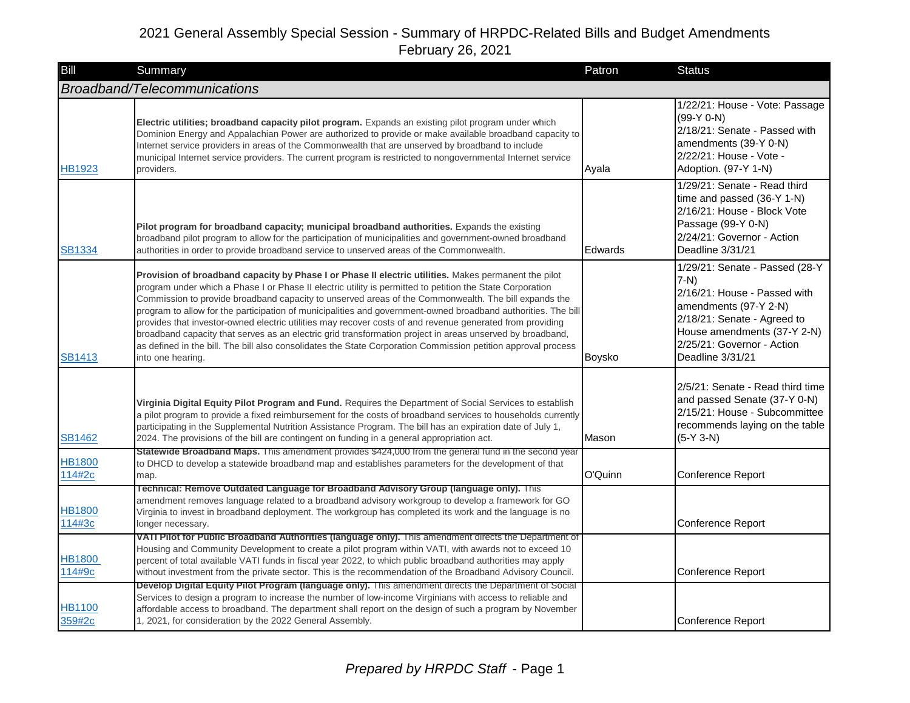| Bill                    | Summary                                                                                                                                                                                                                                                                                                                                                                                                                                                                                                                                                                                                                                                                                                                                                                                                    | Patron         | <b>Status</b>                                                                                                                                                                                                      |
|-------------------------|------------------------------------------------------------------------------------------------------------------------------------------------------------------------------------------------------------------------------------------------------------------------------------------------------------------------------------------------------------------------------------------------------------------------------------------------------------------------------------------------------------------------------------------------------------------------------------------------------------------------------------------------------------------------------------------------------------------------------------------------------------------------------------------------------------|----------------|--------------------------------------------------------------------------------------------------------------------------------------------------------------------------------------------------------------------|
|                         | Broadband/Telecommunications                                                                                                                                                                                                                                                                                                                                                                                                                                                                                                                                                                                                                                                                                                                                                                               |                |                                                                                                                                                                                                                    |
| <b>HB1923</b>           | Electric utilities; broadband capacity pilot program. Expands an existing pilot program under which<br>Dominion Energy and Appalachian Power are authorized to provide or make available broadband capacity to<br>Internet service providers in areas of the Commonwealth that are unserved by broadband to include<br>municipal Internet service providers. The current program is restricted to nongovernmental Internet service<br>providers.                                                                                                                                                                                                                                                                                                                                                           | Ayala          | 1/22/21: House - Vote: Passage<br>$(99-Y 0-N)$<br>2/18/21: Senate - Passed with<br>amendments (39-Y 0-N)<br>2/22/21: House - Vote -<br>Adoption. (97-Y 1-N)                                                        |
| <b>SB1334</b>           | Pilot program for broadband capacity; municipal broadband authorities. Expands the existing<br>broadband pilot program to allow for the participation of municipalities and government-owned broadband<br>authorities in order to provide broadband service to unserved areas of the Commonwealth.                                                                                                                                                                                                                                                                                                                                                                                                                                                                                                         | <b>Edwards</b> | 1/29/21: Senate - Read third<br>time and passed (36-Y 1-N)<br>2/16/21: House - Block Vote<br>Passage (99-Y 0-N)<br>2/24/21: Governor - Action<br>Deadline 3/31/21                                                  |
| <b>SB1413</b>           | Provision of broadband capacity by Phase I or Phase II electric utilities. Makes permanent the pilot<br>program under which a Phase I or Phase II electric utility is permitted to petition the State Corporation<br>Commission to provide broadband capacity to unserved areas of the Commonwealth. The bill expands the<br>program to allow for the participation of municipalities and government-owned broadband authorities. The bill<br>provides that investor-owned electric utilities may recover costs of and revenue generated from providing<br>broadband capacity that serves as an electric grid transformation project in areas unserved by broadband,<br>as defined in the bill. The bill also consolidates the State Corporation Commission petition approval process<br>into one hearing. | Boysko         | 1/29/21: Senate - Passed (28-Y<br>$7-N$ )<br>2/16/21: House - Passed with<br>amendments (97-Y 2-N)<br>2/18/21: Senate - Agreed to<br>House amendments (37-Y 2-N)<br>2/25/21: Governor - Action<br>Deadline 3/31/21 |
| <b>SB1462</b>           | Virginia Digital Equity Pilot Program and Fund. Requires the Department of Social Services to establish<br>a pilot program to provide a fixed reimbursement for the costs of broadband services to households currently<br>participating in the Supplemental Nutrition Assistance Program. The bill has an expiration date of July 1,<br>2024. The provisions of the bill are contingent on funding in a general appropriation act.                                                                                                                                                                                                                                                                                                                                                                        | Mason          | 2/5/21: Senate - Read third time<br>and passed Senate (37-Y 0-N)<br>2/15/21: House - Subcommittee<br>recommends laying on the table<br>$(5-Y 3-N)$                                                                 |
| <b>HB1800</b><br>114#2c | Statewide Broadband Maps. This amendment provides \$424,000 from the general fund in the second year<br>to DHCD to develop a statewide broadband map and establishes parameters for the development of that<br>map.                                                                                                                                                                                                                                                                                                                                                                                                                                                                                                                                                                                        | O'Quinn        | Conference Report                                                                                                                                                                                                  |
| HB1800<br>114#3c        | Technical: Remove Outdated Language for Broadband Advisory Group (language only). This<br>amendment removes language related to a broadband advisory workgroup to develop a framework for GO<br>Virginia to invest in broadband deployment. The workgroup has completed its work and the language is no<br>longer necessary.                                                                                                                                                                                                                                                                                                                                                                                                                                                                               |                | Conference Report                                                                                                                                                                                                  |
| <b>HB1800</b><br>114#9c | VATI Pilot for Public Broadband Authorities (language only). This amendment directs the Department of<br>Housing and Community Development to create a pilot program within VATI, with awards not to exceed 10<br>percent of total available VATI funds in fiscal year 2022, to which public broadband authorities may apply<br>without investment from the private sector. This is the recommendation of the Broadband Advisory Council.                                                                                                                                                                                                                                                                                                                                                                  |                | Conference Report                                                                                                                                                                                                  |
| HB1100<br>359#2c        | Develop Digital Equity Pilot Program (language only). This amendment directs the Department of Social<br>Services to design a program to increase the number of low-income Virginians with access to reliable and<br>affordable access to broadband. The department shall report on the design of such a program by November<br>1, 2021, for consideration by the 2022 General Assembly.                                                                                                                                                                                                                                                                                                                                                                                                                   |                | Conference Report                                                                                                                                                                                                  |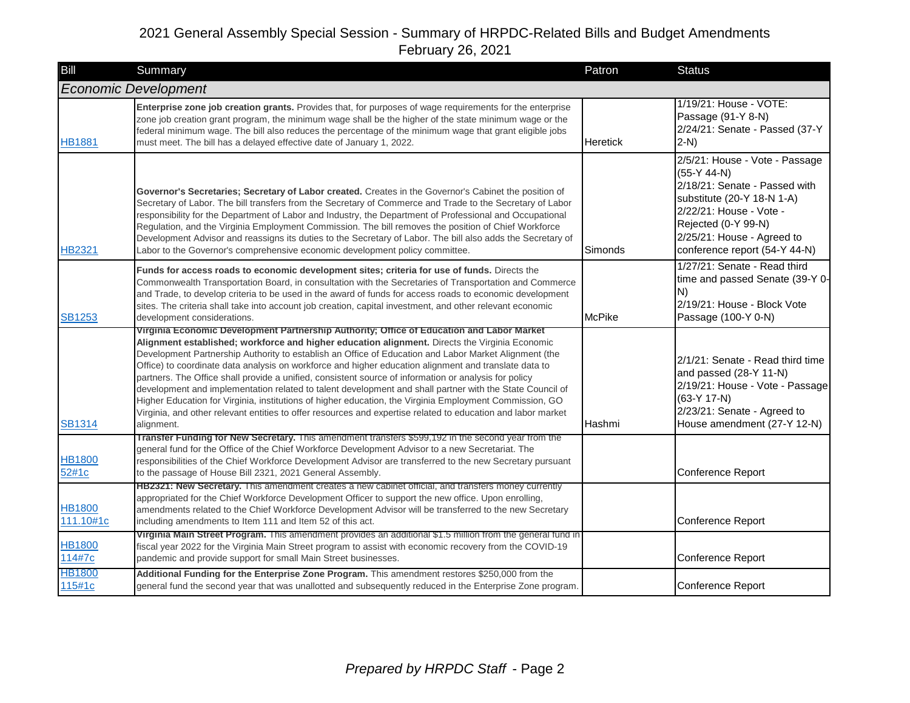| Bill                       | Summary                                                                                                                                                                                                                                                                                                                                                                                                                                                                                                                                                                                                                                                                                                                                                                                                                                                                     | Patron        | <b>Status</b>                                                                                                                                                                                                                   |
|----------------------------|-----------------------------------------------------------------------------------------------------------------------------------------------------------------------------------------------------------------------------------------------------------------------------------------------------------------------------------------------------------------------------------------------------------------------------------------------------------------------------------------------------------------------------------------------------------------------------------------------------------------------------------------------------------------------------------------------------------------------------------------------------------------------------------------------------------------------------------------------------------------------------|---------------|---------------------------------------------------------------------------------------------------------------------------------------------------------------------------------------------------------------------------------|
|                            | <b>Economic Development</b>                                                                                                                                                                                                                                                                                                                                                                                                                                                                                                                                                                                                                                                                                                                                                                                                                                                 |               |                                                                                                                                                                                                                                 |
| <b>HB1881</b>              | Enterprise zone job creation grants. Provides that, for purposes of wage requirements for the enterprise<br>zone job creation grant program, the minimum wage shall be the higher of the state minimum wage or the<br>federal minimum wage. The bill also reduces the percentage of the minimum wage that grant eligible jobs<br>must meet. The bill has a delayed effective date of January 1, 2022.                                                                                                                                                                                                                                                                                                                                                                                                                                                                       | Heretick      | 1/19/21: House - VOTE:<br>Passage (91-Y 8-N)<br>2/24/21: Senate - Passed (37-Y<br>$2-N$                                                                                                                                         |
| HB2321                     | Governor's Secretaries; Secretary of Labor created. Creates in the Governor's Cabinet the position of<br>Secretary of Labor. The bill transfers from the Secretary of Commerce and Trade to the Secretary of Labor<br>responsibility for the Department of Labor and Industry, the Department of Professional and Occupational<br>Regulation, and the Virginia Employment Commission. The bill removes the position of Chief Workforce<br>Development Advisor and reassigns its duties to the Secretary of Labor. The bill also adds the Secretary of<br>Labor to the Governor's comprehensive economic development policy committee.                                                                                                                                                                                                                                       | Simonds       | 2/5/21: House - Vote - Passage<br>$(55-Y 44-N)$<br>2/18/21: Senate - Passed with<br>substitute (20-Y 18-N 1-A)<br>2/22/21: House - Vote -<br>Rejected (0-Y 99-N)<br>2/25/21: House - Agreed to<br>conference report (54-Y 44-N) |
| <b>SB1253</b>              | Funds for access roads to economic development sites; criteria for use of funds. Directs the<br>Commonwealth Transportation Board, in consultation with the Secretaries of Transportation and Commerce<br>and Trade, to develop criteria to be used in the award of funds for access roads to economic development<br>sites. The criteria shall take into account job creation, capital investment, and other relevant economic<br>development considerations.                                                                                                                                                                                                                                                                                                                                                                                                              | <b>McPike</b> | 1/27/21: Senate - Read third<br>time and passed Senate (39-Y 0-<br>N)<br>2/19/21: House - Block Vote<br>Passage (100-Y 0-N)                                                                                                     |
| <b>SB1314</b>              | Virginia Economic Development Partnership Authority; Office of Education and Labor Market<br>Alignment established; workforce and higher education alignment. Directs the Virginia Economic<br>Development Partnership Authority to establish an Office of Education and Labor Market Alignment (the<br>Office) to coordinate data analysis on workforce and higher education alignment and translate data to<br>partners. The Office shall provide a unified, consistent source of information or analysis for policy<br>development and implementation related to talent development and shall partner with the State Council of<br>Higher Education for Virginia, institutions of higher education, the Virginia Employment Commission, GO<br>Virginia, and other relevant entities to offer resources and expertise related to education and labor market<br>alignment. | Hashmi        | 2/1/21: Senate - Read third time<br>and passed (28-Y 11-N)<br>2/19/21: House - Vote - Passage<br>$(63-Y 17-N)$<br>2/23/21: Senate - Agreed to<br>House amendment (27-Y 12-N)                                                    |
| <b>HB1800</b><br>52#1c     | Iranster Funding for New Secretary. This amendment transfers \$599,192 in the second year from the<br>general fund for the Office of the Chief Workforce Development Advisor to a new Secretariat. The<br>responsibilities of the Chief Workforce Development Advisor are transferred to the new Secretary pursuant<br>to the passage of House Bill 2321, 2021 General Assembly.                                                                                                                                                                                                                                                                                                                                                                                                                                                                                            |               | <b>Conference Report</b>                                                                                                                                                                                                        |
| <b>HB1800</b><br>111.10#1c | HB2321: New Secretary. This amendment creates a new cabinet official, and transfers money currently<br>appropriated for the Chief Workforce Development Officer to support the new office. Upon enrolling,<br>amendments related to the Chief Workforce Development Advisor will be transferred to the new Secretary<br>including amendments to Item 111 and Item 52 of this act.                                                                                                                                                                                                                                                                                                                                                                                                                                                                                           |               | Conference Report                                                                                                                                                                                                               |
| <b>HB1800</b><br>114#7c    | Virginia Main Street Program. This amendment provides an additional \$1.5 million from the general fund in<br>fiscal year 2022 for the Virginia Main Street program to assist with economic recovery from the COVID-19<br>pandemic and provide support for small Main Street businesses.                                                                                                                                                                                                                                                                                                                                                                                                                                                                                                                                                                                    |               | Conference Report                                                                                                                                                                                                               |
| <b>HB1800</b><br>115#1c    | Additional Funding for the Enterprise Zone Program. This amendment restores \$250,000 from the<br>general fund the second year that was unallotted and subsequently reduced in the Enterprise Zone program.                                                                                                                                                                                                                                                                                                                                                                                                                                                                                                                                                                                                                                                                 |               | <b>Conference Report</b>                                                                                                                                                                                                        |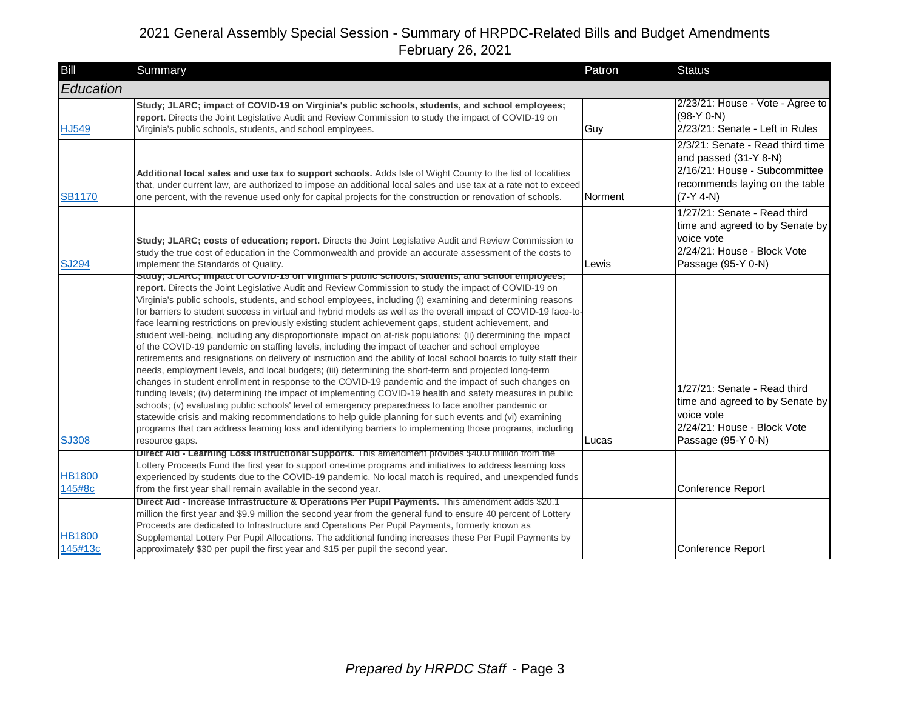| <b>Bill</b>              | Summary                                                                                                                                                                                                                                                                                                                                                                                                                                                                                                                                                                                                                                                                                                                                                                                                                                                                                                                                                                                                                                                                                                                                                                                                                                                                                                                                                                                                                                                                                                                                                                   | Patron  | <b>Status</b>                                                                                                                               |
|--------------------------|---------------------------------------------------------------------------------------------------------------------------------------------------------------------------------------------------------------------------------------------------------------------------------------------------------------------------------------------------------------------------------------------------------------------------------------------------------------------------------------------------------------------------------------------------------------------------------------------------------------------------------------------------------------------------------------------------------------------------------------------------------------------------------------------------------------------------------------------------------------------------------------------------------------------------------------------------------------------------------------------------------------------------------------------------------------------------------------------------------------------------------------------------------------------------------------------------------------------------------------------------------------------------------------------------------------------------------------------------------------------------------------------------------------------------------------------------------------------------------------------------------------------------------------------------------------------------|---------|---------------------------------------------------------------------------------------------------------------------------------------------|
| Education                |                                                                                                                                                                                                                                                                                                                                                                                                                                                                                                                                                                                                                                                                                                                                                                                                                                                                                                                                                                                                                                                                                                                                                                                                                                                                                                                                                                                                                                                                                                                                                                           |         |                                                                                                                                             |
| <b>HJ549</b>             | Study; JLARC; impact of COVID-19 on Virginia's public schools, students, and school employees;<br>report. Directs the Joint Legislative Audit and Review Commission to study the impact of COVID-19 on<br>Virginia's public schools, students, and school employees.                                                                                                                                                                                                                                                                                                                                                                                                                                                                                                                                                                                                                                                                                                                                                                                                                                                                                                                                                                                                                                                                                                                                                                                                                                                                                                      | Guy     | 2/23/21: House - Vote - Agree to<br>$(98-Y 0-N)$<br>2/23/21: Senate - Left in Rules                                                         |
| <b>SB1170</b>            | Additional local sales and use tax to support schools. Adds Isle of Wight County to the list of localities<br>that, under current law, are authorized to impose an additional local sales and use tax at a rate not to exceed<br>one percent, with the revenue used only for capital projects for the construction or renovation of schools.                                                                                                                                                                                                                                                                                                                                                                                                                                                                                                                                                                                                                                                                                                                                                                                                                                                                                                                                                                                                                                                                                                                                                                                                                              | Norment | 2/3/21: Senate - Read third time<br>and passed (31-Y 8-N)<br>2/16/21: House - Subcommittee<br>recommends laying on the table<br>$(7-Y 4-N)$ |
| <b>SJ294</b>             | Study; JLARC; costs of education; report. Directs the Joint Legislative Audit and Review Commission to<br>study the true cost of education in the Commonwealth and provide an accurate assessment of the costs to<br>implement the Standards of Quality.                                                                                                                                                                                                                                                                                                                                                                                                                                                                                                                                                                                                                                                                                                                                                                                                                                                                                                                                                                                                                                                                                                                                                                                                                                                                                                                  | Lewis   | 1/27/21: Senate - Read third<br>time and agreed to by Senate by<br>voice vote<br>2/24/21: House - Block Vote<br>Passage (95-Y 0-N)          |
| <b>SJ308</b>             | Study; JLARC; impact of COVID-19 on Virginia's public schools, students, and school employees;<br>report. Directs the Joint Legislative Audit and Review Commission to study the impact of COVID-19 on<br>Virginia's public schools, students, and school employees, including (i) examining and determining reasons<br>for barriers to student success in virtual and hybrid models as well as the overall impact of COVID-19 face-to-<br>face learning restrictions on previously existing student achievement gaps, student achievement, and<br>student well-being, including any disproportionate impact on at-risk populations; (ii) determining the impact<br>of the COVID-19 pandemic on staffing levels, including the impact of teacher and school employee<br>retirements and resignations on delivery of instruction and the ability of local school boards to fully staff their<br>needs, employment levels, and local budgets; (iii) determining the short-term and projected long-term<br>changes in student enrollment in response to the COVID-19 pandemic and the impact of such changes on<br>funding levels; (iv) determining the impact of implementing COVID-19 health and safety measures in public<br>schools; (v) evaluating public schools' level of emergency preparedness to face another pandemic or<br>statewide crisis and making recommendations to help guide planning for such events and (vi) examining<br>programs that can address learning loss and identifying barriers to implementing those programs, including<br>resource gaps. | Lucas   | 1/27/21: Senate - Read third<br>time and agreed to by Senate by<br>voice vote<br>2/24/21: House - Block Vote<br>Passage (95-Y 0-N)          |
|                          | Direct Aid - Learning Loss Instructional Supports. This amendment provides \$40.0 million from the<br>Lottery Proceeds Fund the first year to support one-time programs and initiatives to address learning loss                                                                                                                                                                                                                                                                                                                                                                                                                                                                                                                                                                                                                                                                                                                                                                                                                                                                                                                                                                                                                                                                                                                                                                                                                                                                                                                                                          |         |                                                                                                                                             |
| <b>HB1800</b><br>145#8c  | experienced by students due to the COVID-19 pandemic. No local match is required, and unexpended funds<br>from the first year shall remain available in the second year.                                                                                                                                                                                                                                                                                                                                                                                                                                                                                                                                                                                                                                                                                                                                                                                                                                                                                                                                                                                                                                                                                                                                                                                                                                                                                                                                                                                                  |         | Conference Report                                                                                                                           |
| <b>HB1800</b><br>145#13c | Direct Aid - Increase Intrastructure & Operations Per Pupil Payments. This amendment adds \$20.1<br>million the first year and \$9.9 million the second year from the general fund to ensure 40 percent of Lottery<br>Proceeds are dedicated to Infrastructure and Operations Per Pupil Payments, formerly known as<br>Supplemental Lottery Per Pupil Allocations. The additional funding increases these Per Pupil Payments by<br>approximately \$30 per pupil the first year and \$15 per pupil the second year.                                                                                                                                                                                                                                                                                                                                                                                                                                                                                                                                                                                                                                                                                                                                                                                                                                                                                                                                                                                                                                                        |         | Conference Report                                                                                                                           |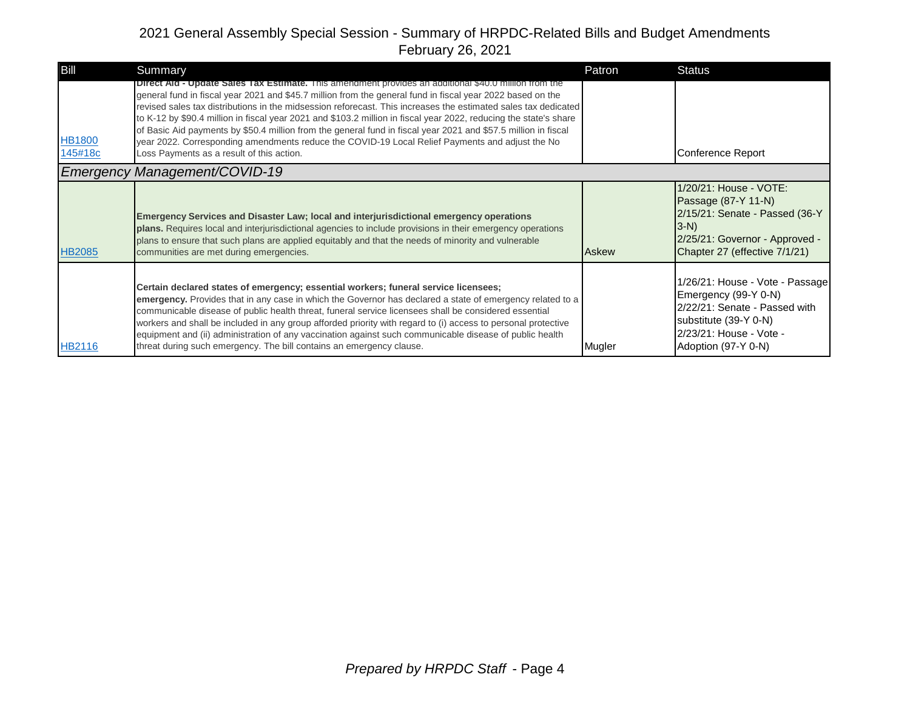| Bill                     | Summary                                                                                                                                                                                                                                                                                                                                                                                                                                                                                                                                                                                                                                                                                                                             | Patron | <b>Status</b>                                                                                                                                                       |
|--------------------------|-------------------------------------------------------------------------------------------------------------------------------------------------------------------------------------------------------------------------------------------------------------------------------------------------------------------------------------------------------------------------------------------------------------------------------------------------------------------------------------------------------------------------------------------------------------------------------------------------------------------------------------------------------------------------------------------------------------------------------------|--------|---------------------------------------------------------------------------------------------------------------------------------------------------------------------|
| <b>HB1800</b><br>145#18c | <b>Direct Aid - Update Sales Tax Estimate.</b> This amendment provides an additional \$40.0 million from the<br>general fund in fiscal year 2021 and \$45.7 million from the general fund in fiscal year 2022 based on the<br>revised sales tax distributions in the midsession reforecast. This increases the estimated sales tax dedicated<br>to K-12 by \$90.4 million in fiscal year 2021 and \$103.2 million in fiscal year 2022, reducing the state's share<br>of Basic Aid payments by \$50.4 million from the general fund in fiscal year 2021 and \$57.5 million in fiscal<br>year 2022. Corresponding amendments reduce the COVID-19 Local Relief Payments and adjust the No<br>Loss Payments as a result of this action. |        | Conference Report                                                                                                                                                   |
|                          | <b>Emergency Management/COVID-19</b>                                                                                                                                                                                                                                                                                                                                                                                                                                                                                                                                                                                                                                                                                                |        |                                                                                                                                                                     |
| <b>HB2085</b>            | Emergency Services and Disaster Law; local and interjurisdictional emergency operations<br>plans. Requires local and interjurisdictional agencies to include provisions in their emergency operations<br>plans to ensure that such plans are applied equitably and that the needs of minority and vulnerable<br>communities are met during emergencies.                                                                                                                                                                                                                                                                                                                                                                             | Askew  | 1/20/21: House - VOTE:<br>Passage (87-Y 11-N)<br>2/15/21: Senate - Passed (36-Y<br>$3-N$<br>2/25/21: Governor - Approved -<br>Chapter 27 (effective 7/1/21)         |
| <b>HB2116</b>            | Certain declared states of emergency; essential workers; funeral service licensees;<br>emergency. Provides that in any case in which the Governor has declared a state of emergency related to a<br>communicable disease of public health threat, funeral service licensees shall be considered essential<br>workers and shall be included in any group afforded priority with regard to (i) access to personal protective<br>equipment and (ii) administration of any vaccination against such communicable disease of public health<br>threat during such emergency. The bill contains an emergency clause.                                                                                                                       | Mugler | 1/26/21: House - Vote - Passage<br>Emergency (99-Y 0-N)<br>2/22/21: Senate - Passed with<br>substitute (39-Y 0-N)<br>2/23/21: House - Vote -<br>Adoption (97-Y 0-N) |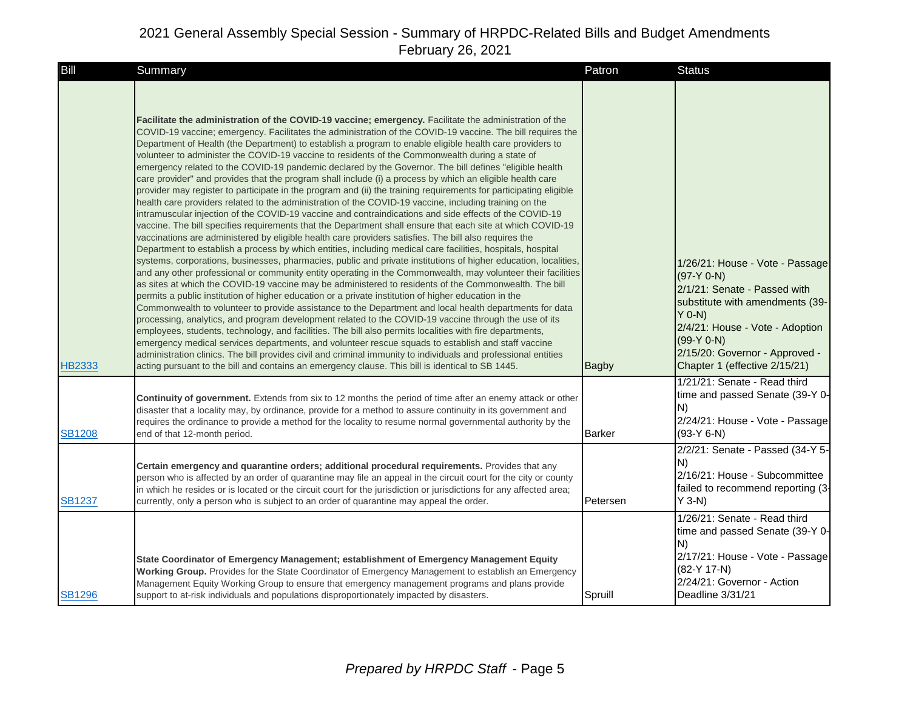| Bill          | Summary                                                                                                                                                                                                                                                                                                                                                                                                                                                                                                                                                                                                                                                                                                                                                                                                                                                                                                                                                                                                                                                                                                                                                                                                                                                                                                                                                                                                                                                                                                                                                                                                                                                                                                                                                                                                                                                                                                                                                                                                                                                                                                                                                                                                                                                                                                                                                                                                                                                   | Patron        | <b>Status</b>                                                                                                                                                                                                                                        |
|---------------|-----------------------------------------------------------------------------------------------------------------------------------------------------------------------------------------------------------------------------------------------------------------------------------------------------------------------------------------------------------------------------------------------------------------------------------------------------------------------------------------------------------------------------------------------------------------------------------------------------------------------------------------------------------------------------------------------------------------------------------------------------------------------------------------------------------------------------------------------------------------------------------------------------------------------------------------------------------------------------------------------------------------------------------------------------------------------------------------------------------------------------------------------------------------------------------------------------------------------------------------------------------------------------------------------------------------------------------------------------------------------------------------------------------------------------------------------------------------------------------------------------------------------------------------------------------------------------------------------------------------------------------------------------------------------------------------------------------------------------------------------------------------------------------------------------------------------------------------------------------------------------------------------------------------------------------------------------------------------------------------------------------------------------------------------------------------------------------------------------------------------------------------------------------------------------------------------------------------------------------------------------------------------------------------------------------------------------------------------------------------------------------------------------------------------------------------------------------|---------------|------------------------------------------------------------------------------------------------------------------------------------------------------------------------------------------------------------------------------------------------------|
| <b>HB2333</b> | Facilitate the administration of the COVID-19 vaccine; emergency. Facilitate the administration of the<br>COVID-19 vaccine; emergency. Facilitates the administration of the COVID-19 vaccine. The bill requires the<br>Department of Health (the Department) to establish a program to enable eligible health care providers to<br>volunteer to administer the COVID-19 vaccine to residents of the Commonwealth during a state of<br>emergency related to the COVID-19 pandemic declared by the Governor. The bill defines "eligible health<br>care provider" and provides that the program shall include (i) a process by which an eligible health care<br>provider may register to participate in the program and (ii) the training requirements for participating eligible<br>health care providers related to the administration of the COVID-19 vaccine, including training on the<br>intramuscular injection of the COVID-19 vaccine and contraindications and side effects of the COVID-19<br>vaccine. The bill specifies requirements that the Department shall ensure that each site at which COVID-19<br>vaccinations are administered by eligible health care providers satisfies. The bill also requires the<br>Department to establish a process by which entities, including medical care facilities, hospitals, hospital<br>systems, corporations, businesses, pharmacies, public and private institutions of higher education, localities,<br>and any other professional or community entity operating in the Commonwealth, may volunteer their facilities<br>as sites at which the COVID-19 vaccine may be administered to residents of the Commonwealth. The bill<br>permits a public institution of higher education or a private institution of higher education in the<br>Commonwealth to volunteer to provide assistance to the Department and local health departments for data<br>processing, analytics, and program development related to the COVID-19 vaccine through the use of its<br>employees, students, technology, and facilities. The bill also permits localities with fire departments,<br>emergency medical services departments, and volunteer rescue squads to establish and staff vaccine<br>administration clinics. The bill provides civil and criminal immunity to individuals and professional entities<br>acting pursuant to the bill and contains an emergency clause. This bill is identical to SB 1445. | <b>Bagby</b>  | 1/26/21: House - Vote - Passage<br>$(97-Y 0-N)$<br>2/1/21: Senate - Passed with<br>substitute with amendments (39-<br>$Y$ 0-N)<br>2/4/21: House - Vote - Adoption<br>$(99-Y 0-N)$<br>2/15/20: Governor - Approved -<br>Chapter 1 (effective 2/15/21) |
| <b>SB1208</b> | <b>Continuity of government.</b> Extends from six to 12 months the period of time after an enemy attack or other<br>disaster that a locality may, by ordinance, provide for a method to assure continuity in its government and<br>requires the ordinance to provide a method for the locality to resume normal governmental authority by the<br>end of that 12-month period.                                                                                                                                                                                                                                                                                                                                                                                                                                                                                                                                                                                                                                                                                                                                                                                                                                                                                                                                                                                                                                                                                                                                                                                                                                                                                                                                                                                                                                                                                                                                                                                                                                                                                                                                                                                                                                                                                                                                                                                                                                                                             | <b>Barker</b> | 1/21/21: Senate - Read third<br>time and passed Senate (39-Y 0-<br>N)<br>2/24/21: House - Vote - Passage<br>$(93-Y 6-N)$                                                                                                                             |
| <b>SB1237</b> | Certain emergency and quarantine orders; additional procedural requirements. Provides that any<br>person who is affected by an order of quarantine may file an appeal in the circuit court for the city or county<br>in which he resides or is located or the circuit court for the jurisdiction or jurisdictions for any affected area;<br>currently, only a person who is subject to an order of quarantine may appeal the order.                                                                                                                                                                                                                                                                                                                                                                                                                                                                                                                                                                                                                                                                                                                                                                                                                                                                                                                                                                                                                                                                                                                                                                                                                                                                                                                                                                                                                                                                                                                                                                                                                                                                                                                                                                                                                                                                                                                                                                                                                       | Petersen      | 2/2/21: Senate - Passed (34-Y 5-<br>N)<br>2/16/21: House - Subcommittee<br>failed to recommend reporting (3-<br>$Y$ 3-N)                                                                                                                             |
| <b>SB1296</b> | State Coordinator of Emergency Management; establishment of Emergency Management Equity<br>Working Group. Provides for the State Coordinator of Emergency Management to establish an Emergency<br>Management Equity Working Group to ensure that emergency management programs and plans provide<br>support to at-risk individuals and populations disproportionately impacted by disasters.                                                                                                                                                                                                                                                                                                                                                                                                                                                                                                                                                                                                                                                                                                                                                                                                                                                                                                                                                                                                                                                                                                                                                                                                                                                                                                                                                                                                                                                                                                                                                                                                                                                                                                                                                                                                                                                                                                                                                                                                                                                              | Spruill       | 1/26/21: Senate - Read third<br>time and passed Senate (39-Y 0-<br>N)<br>2/17/21: House - Vote - Passage<br>$(82-Y 17-N)$<br>2/24/21: Governor - Action<br>Deadline 3/31/21                                                                          |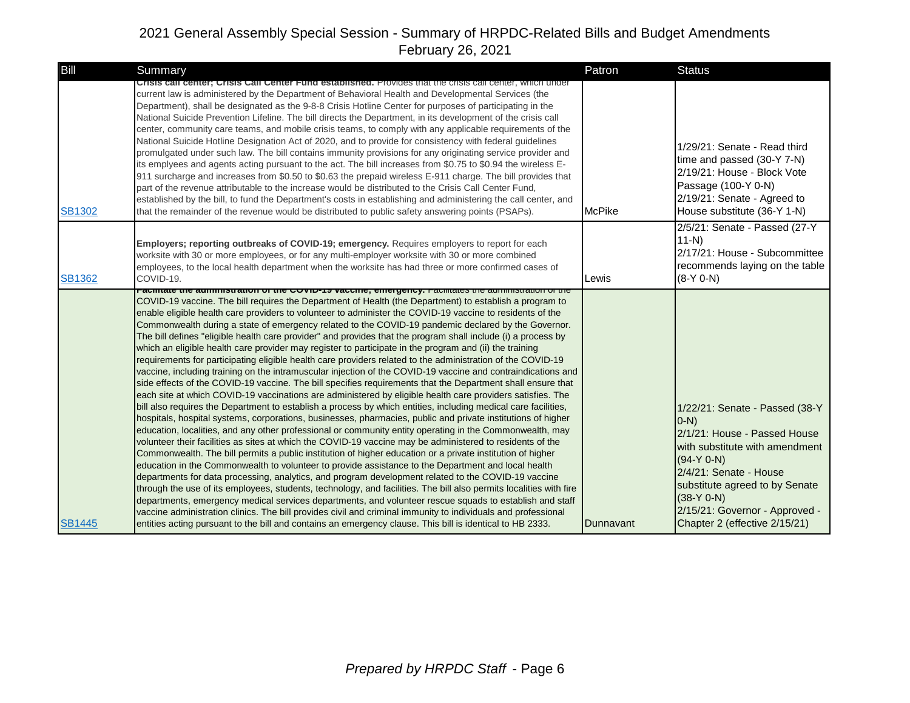| Bill          | Summary                                                                                                                                                                                                                                                                                                                                                                                                                                                                                                                                                                                                                                                                                                                                                                                                                                                                                                                                                                                                                                                                                                                                                                                                                                                                                                                                                                                                                                                                                                                                                                                                                                                                                                                                                                                                                                                                                                                                                                                                                                                                                                                                                                                                                                                                                                                                                                                                            | Patron        | <b>Status</b>                                                                                                                                                                                                                                                              |
|---------------|--------------------------------------------------------------------------------------------------------------------------------------------------------------------------------------------------------------------------------------------------------------------------------------------------------------------------------------------------------------------------------------------------------------------------------------------------------------------------------------------------------------------------------------------------------------------------------------------------------------------------------------------------------------------------------------------------------------------------------------------------------------------------------------------------------------------------------------------------------------------------------------------------------------------------------------------------------------------------------------------------------------------------------------------------------------------------------------------------------------------------------------------------------------------------------------------------------------------------------------------------------------------------------------------------------------------------------------------------------------------------------------------------------------------------------------------------------------------------------------------------------------------------------------------------------------------------------------------------------------------------------------------------------------------------------------------------------------------------------------------------------------------------------------------------------------------------------------------------------------------------------------------------------------------------------------------------------------------------------------------------------------------------------------------------------------------------------------------------------------------------------------------------------------------------------------------------------------------------------------------------------------------------------------------------------------------------------------------------------------------------------------------------------------------|---------------|----------------------------------------------------------------------------------------------------------------------------------------------------------------------------------------------------------------------------------------------------------------------------|
| <b>SB1302</b> | Crisis call center; Crisis Call Center Fund established. Provides that the crisis call center, which under<br>current law is administered by the Department of Behavioral Health and Developmental Services (the<br>Department), shall be designated as the 9-8-8 Crisis Hotline Center for purposes of participating in the<br>National Suicide Prevention Lifeline. The bill directs the Department, in its development of the crisis call<br>center, community care teams, and mobile crisis teams, to comply with any applicable requirements of the<br>National Suicide Hotline Designation Act of 2020, and to provide for consistency with federal guidelines<br>promulgated under such law. The bill contains immunity provisions for any originating service provider and<br>its emplyees and agents acting pursuant to the act. The bill increases from \$0.75 to \$0.94 the wireless E-<br>911 surcharge and increases from \$0.50 to \$0.63 the prepaid wireless E-911 charge. The bill provides that<br>part of the revenue attributable to the increase would be distributed to the Crisis Call Center Fund,<br>established by the bill, to fund the Department's costs in establishing and administering the call center, and<br>that the remainder of the revenue would be distributed to public safety answering points (PSAPs).                                                                                                                                                                                                                                                                                                                                                                                                                                                                                                                                                                                                                                                                                                                                                                                                                                                                                                                                                                                                                                                                  | <b>McPike</b> | 1/29/21: Senate - Read third<br>time and passed (30-Y 7-N)<br>2/19/21: House - Block Vote<br>Passage (100-Y 0-N)<br>2/19/21: Senate - Agreed to<br>House substitute (36-Y 1-N)                                                                                             |
| <b>SB1362</b> | Employers; reporting outbreaks of COVID-19; emergency. Requires employers to report for each<br>worksite with 30 or more employees, or for any multi-employer worksite with 30 or more combined<br>employees, to the local health department when the worksite has had three or more confirmed cases of<br>COVID-19.                                                                                                                                                                                                                                                                                                                                                                                                                                                                                                                                                                                                                                                                                                                                                                                                                                                                                                                                                                                                                                                                                                                                                                                                                                                                                                                                                                                                                                                                                                                                                                                                                                                                                                                                                                                                                                                                                                                                                                                                                                                                                               | Lewis         | 2/5/21: Senate - Passed (27-Y<br>$11 - N$<br>2/17/21: House - Subcommittee<br>recommends laying on the table<br>$(8-Y 0-N)$                                                                                                                                                |
| <b>SB1445</b> | <mark>רמטוונמנט נווט מעווווווואנומנוטון טרנוש טע צוריטוווט, טווויטוווט, ר</mark> מטוונמנט נווט מעווווווואנומנוטון טרנווו <del>ט</del><br>COVID-19 vaccine. The bill requires the Department of Health (the Department) to establish a program to<br>enable eligible health care providers to volunteer to administer the COVID-19 vaccine to residents of the<br>Commonwealth during a state of emergency related to the COVID-19 pandemic declared by the Governor.<br>The bill defines "eligible health care provider" and provides that the program shall include (i) a process by<br>which an eligible health care provider may register to participate in the program and (ii) the training<br>requirements for participating eligible health care providers related to the administration of the COVID-19<br>vaccine, including training on the intramuscular injection of the COVID-19 vaccine and contraindications and<br>side effects of the COVID-19 vaccine. The bill specifies requirements that the Department shall ensure that<br>each site at which COVID-19 vaccinations are administered by eligible health care providers satisfies. The<br>bill also requires the Department to establish a process by which entities, including medical care facilities,<br>hospitals, hospital systems, corporations, businesses, pharmacies, public and private institutions of higher<br>education, localities, and any other professional or community entity operating in the Commonwealth, may<br>volunteer their facilities as sites at which the COVID-19 vaccine may be administered to residents of the<br>Commonwealth. The bill permits a public institution of higher education or a private institution of higher<br>education in the Commonwealth to volunteer to provide assistance to the Department and local health<br>departments for data processing, analytics, and program development related to the COVID-19 vaccine<br>through the use of its employees, students, technology, and facilities. The bill also permits localities with fire<br>departments, emergency medical services departments, and volunteer rescue squads to establish and staff<br>vaccine administration clinics. The bill provides civil and criminal immunity to individuals and professional<br>entities acting pursuant to the bill and contains an emergency clause. This bill is identical to HB 2333. | Dunnavant     | 1/22/21: Senate - Passed (38-Y<br>$(0-N)$<br>2/1/21: House - Passed House<br>with substitute with amendment<br>$(94-Y 0-N)$<br>2/4/21: Senate - House<br>substitute agreed to by Senate<br>$(38-Y 0-N)$<br>2/15/21: Governor - Approved -<br>Chapter 2 (effective 2/15/21) |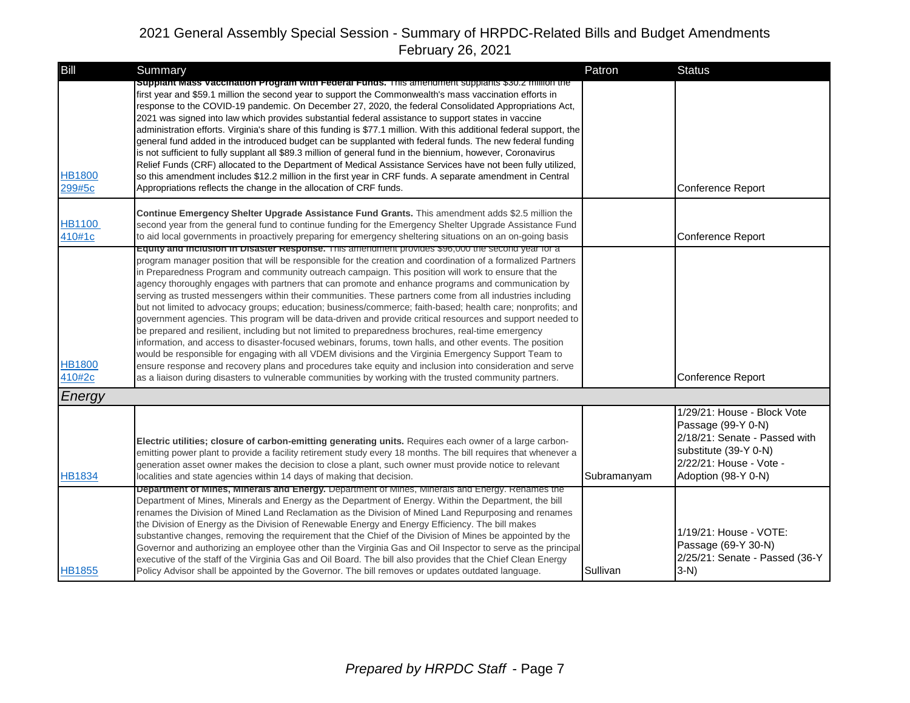| Bill                    | Summary                                                                                                                                                                                                                                                                                                                                                                                                                                                                                                                                                                                                                                                                                                                                                                                                                                                                                                                                                                                                                                                                                                                                                                                                                                                                                                         | Patron      | <b>Status</b>                                                                                                                                                 |
|-------------------------|-----------------------------------------------------------------------------------------------------------------------------------------------------------------------------------------------------------------------------------------------------------------------------------------------------------------------------------------------------------------------------------------------------------------------------------------------------------------------------------------------------------------------------------------------------------------------------------------------------------------------------------------------------------------------------------------------------------------------------------------------------------------------------------------------------------------------------------------------------------------------------------------------------------------------------------------------------------------------------------------------------------------------------------------------------------------------------------------------------------------------------------------------------------------------------------------------------------------------------------------------------------------------------------------------------------------|-------------|---------------------------------------------------------------------------------------------------------------------------------------------------------------|
| <b>HB1800</b><br>299#5c | Supplant Mass Vaccination Program with Federal Funds. This amendment supplants \$30.2 million the<br>first year and \$59.1 million the second year to support the Commonwealth's mass vaccination efforts in<br>response to the COVID-19 pandemic. On December 27, 2020, the federal Consolidated Appropriations Act,<br>2021 was signed into law which provides substantial federal assistance to support states in vaccine<br>administration efforts. Virginia's share of this funding is \$77.1 million. With this additional federal support, the<br>general fund added in the introduced budget can be supplanted with federal funds. The new federal funding<br>is not sufficient to fully supplant all \$89.3 million of general fund in the biennium, however, Coronavirus<br>Relief Funds (CRF) allocated to the Department of Medical Assistance Services have not been fully utilized,<br>so this amendment includes \$12.2 million in the first year in CRF funds. A separate amendment in Central<br>Appropriations reflects the change in the allocation of CRF funds.                                                                                                                                                                                                                            |             | Conference Report                                                                                                                                             |
| <b>HB1100</b><br>410#1c | Continue Emergency Shelter Upgrade Assistance Fund Grants. This amendment adds \$2.5 million the<br>second year from the general fund to continue funding for the Emergency Shelter Upgrade Assistance Fund<br>to aid local governments in proactively preparing for emergency sheltering situations on an on-going basis                                                                                                                                                                                                                                                                                                                                                                                                                                                                                                                                                                                                                                                                                                                                                                                                                                                                                                                                                                                       |             | Conference Report                                                                                                                                             |
| <b>HB1800</b><br>410#2c | ב equity and inclusion in Disaster Response. This amendment provides בecond year for a<br>program manager position that will be responsible for the creation and coordination of a formalized Partners<br>in Preparedness Program and community outreach campaign. This position will work to ensure that the<br>agency thoroughly engages with partners that can promote and enhance programs and communication by<br>serving as trusted messengers within their communities. These partners come from all industries including<br>but not limited to advocacy groups; education; business/commerce; faith-based; health care; nonprofits; and<br>government agencies. This program will be data-driven and provide critical resources and support needed to<br>be prepared and resilient, including but not limited to preparedness brochures, real-time emergency<br>information, and access to disaster-focused webinars, forums, town halls, and other events. The position<br>would be responsible for engaging with all VDEM divisions and the Virginia Emergency Support Team to<br>ensure response and recovery plans and procedures take equity and inclusion into consideration and serve<br>as a liaison during disasters to vulnerable communities by working with the trusted community partners. |             | Conference Report                                                                                                                                             |
| Energy                  |                                                                                                                                                                                                                                                                                                                                                                                                                                                                                                                                                                                                                                                                                                                                                                                                                                                                                                                                                                                                                                                                                                                                                                                                                                                                                                                 |             |                                                                                                                                                               |
| <b>HB1834</b>           | Electric utilities; closure of carbon-emitting generating units. Requires each owner of a large carbon-<br>emitting power plant to provide a facility retirement study every 18 months. The bill requires that whenever a<br>generation asset owner makes the decision to close a plant, such owner must provide notice to relevant<br>localities and state agencies within 14 days of making that decision.                                                                                                                                                                                                                                                                                                                                                                                                                                                                                                                                                                                                                                                                                                                                                                                                                                                                                                    | Subramanyam | 1/29/21: House - Block Vote<br>Passage (99-Y 0-N)<br>2/18/21: Senate - Passed with<br>substitute (39-Y 0-N)<br>2/22/21: House - Vote -<br>Adoption (98-Y 0-N) |
| <b>HB1855</b>           | <b>Department of Mines, Minerals and Energy.</b> Department of Mines, Minerals and Energy. Renames the<br>Department of Mines, Minerals and Energy as the Department of Energy. Within the Department, the bill<br>renames the Division of Mined Land Reclamation as the Division of Mined Land Repurposing and renames<br>the Division of Energy as the Division of Renewable Energy and Energy Efficiency. The bill makes<br>substantive changes, removing the requirement that the Chief of the Division of Mines be appointed by the<br>Governor and authorizing an employee other than the Virginia Gas and Oil Inspector to serve as the principal<br>executive of the staff of the Virginia Gas and Oil Board. The bill also provides that the Chief Clean Energy<br>Policy Advisor shall be appointed by the Governor. The bill removes or updates outdated language.                                                                                                                                                                                                                                                                                                                                                                                                                                   | Sullivan    | 1/19/21: House - VOTE:<br>Passage (69-Y 30-N)<br>2/25/21: Senate - Passed (36-Y<br>$3-N$                                                                      |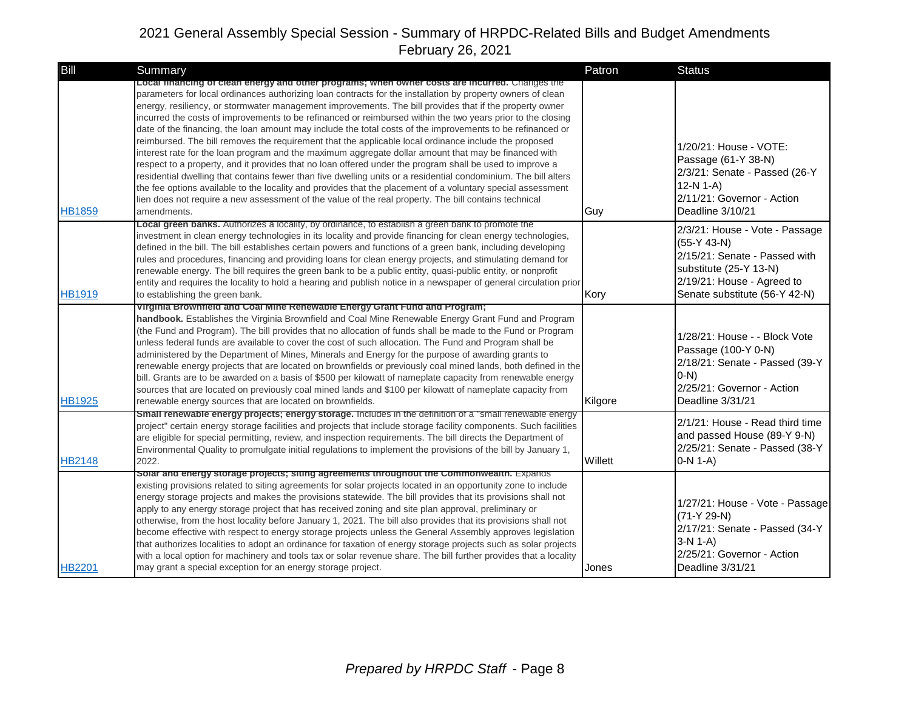| Bill          | Summary                                                                                                                                                                                                                                                                                                                                                                                                                                                                                                                                                                                                                                                                                                                                                                                                                                                                                                                                                                                                                                                                                                                                                                                                                                      | Patron  | <b>Status</b>                                                                                                                                                             |
|---------------|----------------------------------------------------------------------------------------------------------------------------------------------------------------------------------------------------------------------------------------------------------------------------------------------------------------------------------------------------------------------------------------------------------------------------------------------------------------------------------------------------------------------------------------------------------------------------------------------------------------------------------------------------------------------------------------------------------------------------------------------------------------------------------------------------------------------------------------------------------------------------------------------------------------------------------------------------------------------------------------------------------------------------------------------------------------------------------------------------------------------------------------------------------------------------------------------------------------------------------------------|---------|---------------------------------------------------------------------------------------------------------------------------------------------------------------------------|
| <b>HB1859</b> | Local financing of clean energy and other programs; when owner costs are incurred. Changes the<br>parameters for local ordinances authorizing loan contracts for the installation by property owners of clean<br>energy, resiliency, or stormwater management improvements. The bill provides that if the property owner<br>incurred the costs of improvements to be refinanced or reimbursed within the two years prior to the closing<br>date of the financing, the loan amount may include the total costs of the improvements to be refinanced or<br>reimbursed. The bill removes the requirement that the applicable local ordinance include the proposed<br>interest rate for the loan program and the maximum aggregate dollar amount that may be financed with<br>respect to a property, and it provides that no loan offered under the program shall be used to improve a<br>residential dwelling that contains fewer than five dwelling units or a residential condominium. The bill alters<br>the fee options available to the locality and provides that the placement of a voluntary special assessment<br>lien does not require a new assessment of the value of the real property. The bill contains technical<br>amendments. | Guy     | 1/20/21: House - VOTE:<br>Passage (61-Y 38-N)<br>2/3/21: Senate - Passed (26-Y<br>$12-N 1-A$<br>2/11/21: Governor - Action<br>Deadline 3/10/21                            |
| <b>HB1919</b> | Local green banks. Authorizes a locality, by ordinance, to establish a green bank to promote the<br>investment in clean energy technologies in its locality and provide financing for clean energy technologies,<br>defined in the bill. The bill establishes certain powers and functions of a green bank, including developing<br>rules and procedures, financing and providing loans for clean energy projects, and stimulating demand for<br>renewable energy. The bill requires the green bank to be a public entity, quasi-public entity, or nonprofit<br>entity and requires the locality to hold a hearing and publish notice in a newspaper of general circulation prior<br>to establishing the green bank.                                                                                                                                                                                                                                                                                                                                                                                                                                                                                                                         | Kory    | 2/3/21: House - Vote - Passage<br>$(55-Y 43-N)$<br>2/15/21: Senate - Passed with<br>substitute (25-Y 13-N)<br>2/19/21: House - Agreed to<br>Senate substitute (56-Y 42-N) |
| <b>HB1925</b> | Virginia Brownfield and Coal Mine Renewable Energy Grant Fund and Program;<br>handbook. Establishes the Virginia Brownfield and Coal Mine Renewable Energy Grant Fund and Program<br>(the Fund and Program). The bill provides that no allocation of funds shall be made to the Fund or Program<br>unless federal funds are available to cover the cost of such allocation. The Fund and Program shall be<br>administered by the Department of Mines, Minerals and Energy for the purpose of awarding grants to<br>renewable energy projects that are located on brownfields or previously coal mined lands, both defined in the<br>bill. Grants are to be awarded on a basis of \$500 per kilowatt of nameplate capacity from renewable energy<br>sources that are located on previously coal mined lands and \$100 per kilowatt of nameplate capacity from<br>renewable energy sources that are located on brownfields.                                                                                                                                                                                                                                                                                                                    | Kilgore | 1/28/21: House - - Block Vote<br>Passage (100-Y 0-N)<br>2/18/21: Senate - Passed (39-Y<br>$(0-N)$<br>2/25/21: Governor - Action<br>Deadline 3/31/21                       |
| <b>HB2148</b> | Small renewable energy projects; energy storage. Includes in the definition of a "small renewable energy<br>project" certain energy storage facilities and projects that include storage facility components. Such facilities<br>are eligible for special permitting, review, and inspection requirements. The bill directs the Department of<br>Environmental Quality to promulgate initial regulations to implement the provisions of the bill by January 1,<br>2022.                                                                                                                                                                                                                                                                                                                                                                                                                                                                                                                                                                                                                                                                                                                                                                      | Willett | 2/1/21: House - Read third time<br>and passed House (89-Y 9-N)<br>2/25/21: Senate - Passed (38-Y<br>$0-N 1-A$                                                             |
| <b>HB2201</b> | Solar and energy storage projects; siting agreements throughout the Commonwealth. Expands<br>existing provisions related to siting agreements for solar projects located in an opportunity zone to include<br>energy storage projects and makes the provisions statewide. The bill provides that its provisions shall not<br>apply to any energy storage project that has received zoning and site plan approval, preliminary or<br>otherwise, from the host locality before January 1, 2021. The bill also provides that its provisions shall not<br>become effective with respect to energy storage projects unless the General Assembly approves legislation<br>that authorizes localities to adopt an ordinance for taxation of energy storage projects such as solar projects<br>with a local option for machinery and tools tax or solar revenue share. The bill further provides that a locality<br>may grant a special exception for an energy storage project.                                                                                                                                                                                                                                                                      | Jones   | 1/27/21: House - Vote - Passage<br>$(71-Y 29-N)$<br>2/17/21: Senate - Passed (34-Y<br>$3-N 1-A$ )<br>2/25/21: Governor - Action<br>Deadline 3/31/21                       |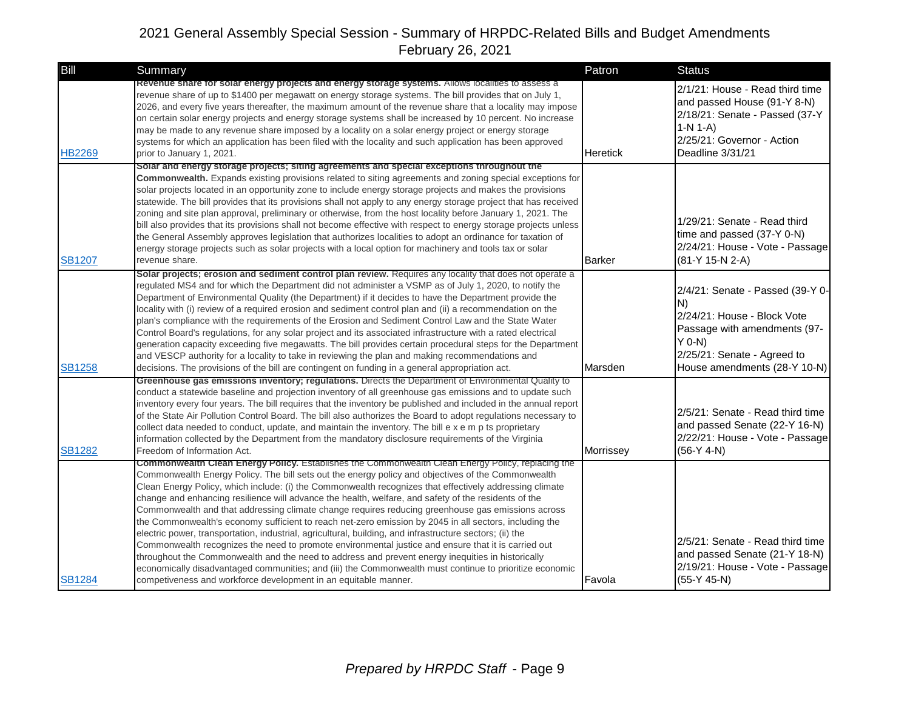| Bill          | <b>Summary</b>                                                                                                                                                                                                                                                                                                                                                                                                                                                                                                                                                                                                                                                                                                                                                                                                                                                                                                                                                                                                                                                                                                                                  | Patron          | <b>Status</b>                                                                                                                                                                    |
|---------------|-------------------------------------------------------------------------------------------------------------------------------------------------------------------------------------------------------------------------------------------------------------------------------------------------------------------------------------------------------------------------------------------------------------------------------------------------------------------------------------------------------------------------------------------------------------------------------------------------------------------------------------------------------------------------------------------------------------------------------------------------------------------------------------------------------------------------------------------------------------------------------------------------------------------------------------------------------------------------------------------------------------------------------------------------------------------------------------------------------------------------------------------------|-----------------|----------------------------------------------------------------------------------------------------------------------------------------------------------------------------------|
| <b>HB2269</b> | Revenue share for solar energy projects and energy storage systems. Allows localities to assess a<br>revenue share of up to \$1400 per megawatt on energy storage systems. The bill provides that on July 1,<br>2026, and every five years thereafter, the maximum amount of the revenue share that a locality may impose<br>on certain solar energy projects and energy storage systems shall be increased by 10 percent. No increase<br>may be made to any revenue share imposed by a locality on a solar energy project or energy storage<br>systems for which an application has been filed with the locality and such application has been approved<br>prior to January 1, 2021.                                                                                                                                                                                                                                                                                                                                                                                                                                                           | <b>Heretick</b> | 2/1/21: House - Read third time<br>and passed House (91-Y 8-N)<br>2/18/21: Senate - Passed (37-Y<br>$1-N 1-A$<br>2/25/21: Governor - Action<br>Deadline 3/31/21                  |
| <b>SB1207</b> | Solar and energy storage projects; siting agreements and special exceptions throughout the<br>Commonwealth. Expands existing provisions related to siting agreements and zoning special exceptions for<br>solar projects located in an opportunity zone to include energy storage projects and makes the provisions<br>statewide. The bill provides that its provisions shall not apply to any energy storage project that has received<br>zoning and site plan approval, preliminary or otherwise, from the host locality before January 1, 2021. The<br>bill also provides that its provisions shall not become effective with respect to energy storage projects unless<br>the General Assembly approves legislation that authorizes localities to adopt an ordinance for taxation of<br>energy storage projects such as solar projects with a local option for machinery and tools tax or solar<br>revenue share.                                                                                                                                                                                                                           | <b>Barker</b>   | 1/29/21: Senate - Read third<br>time and passed (37-Y 0-N)<br>2/24/21: House - Vote - Passage<br>(81-Y 15-N 2-A)                                                                 |
| <b>SB1258</b> | Solar projects; erosion and sediment control plan review. Requires any locality that does not operate a<br>regulated MS4 and for which the Department did not administer a VSMP as of July 1, 2020, to notify the<br>Department of Environmental Quality (the Department) if it decides to have the Department provide the<br>locality with (i) review of a required erosion and sediment control plan and (ii) a recommendation on the<br>plan's compliance with the requirements of the Erosion and Sediment Control Law and the State Water<br>Control Board's regulations, for any solar project and its associated infrastructure with a rated electrical<br>generation capacity exceeding five megawatts. The bill provides certain procedural steps for the Department<br>and VESCP authority for a locality to take in reviewing the plan and making recommendations and<br>decisions. The provisions of the bill are contingent on funding in a general appropriation act.                                                                                                                                                             | Marsden         | 2/4/21: Senate - Passed (39-Y 0-<br>N)<br>2/24/21: House - Block Vote<br>Passage with amendments (97-<br>$Y$ 0-N)<br>2/25/21: Senate - Agreed to<br>House amendments (28-Y 10-N) |
| <b>SB1282</b> | Greenhouse gas emissions inventory; regulations. Directs the Department of Environmental Quality to<br>conduct a statewide baseline and projection inventory of all greenhouse gas emissions and to update such<br>inventory every four years. The bill requires that the inventory be published and included in the annual report<br>of the State Air Pollution Control Board. The bill also authorizes the Board to adopt regulations necessary to<br>collect data needed to conduct, update, and maintain the inventory. The bill e x e m p ts proprietary<br>information collected by the Department from the mandatory disclosure requirements of the Virginia<br>Freedom of Information Act.                                                                                                                                                                                                                                                                                                                                                                                                                                              | Morrissey       | 2/5/21: Senate - Read third time<br>and passed Senate (22-Y 16-N)<br>2/22/21: House - Vote - Passage<br>$(56-Y 4-N)$                                                             |
| <b>SB1284</b> | Commonwealth Clean Energy Policy. Establishes the Commonwealth Clean Energy Policy, replacing the<br>Commonwealth Energy Policy. The bill sets out the energy policy and objectives of the Commonwealth<br>Clean Energy Policy, which include: (i) the Commonwealth recognizes that effectively addressing climate<br>change and enhancing resilience will advance the health, welfare, and safety of the residents of the<br>Commonwealth and that addressing climate change requires reducing greenhouse gas emissions across<br>the Commonwealth's economy sufficient to reach net-zero emission by 2045 in all sectors, including the<br>electric power, transportation, industrial, agricultural, building, and infrastructure sectors; (ii) the<br>Commonwealth recognizes the need to promote environmental justice and ensure that it is carried out<br>throughout the Commonwealth and the need to address and prevent energy inequities in historically<br>economically disadvantaged communities; and (iii) the Commonwealth must continue to prioritize economic<br>competiveness and workforce development in an equitable manner. | Favola          | 2/5/21: Senate - Read third time<br>and passed Senate (21-Y 18-N)<br>2/19/21: House - Vote - Passage<br>$(55-Y 45-N)$                                                            |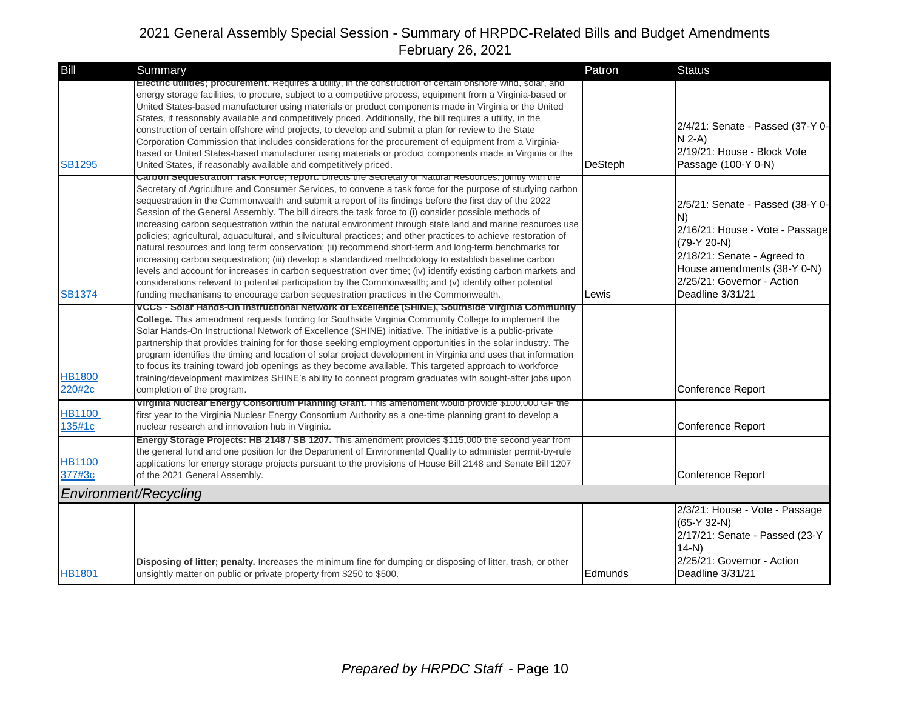| Bill                    | Summary                                                                                                                                                                                                                                                                                                                                                                                                                                                                                                                                                                                                                                                                                                                                                                                                                                                                                                                                                                                                                                                                                                                                                                                                       | Patron         | <b>Status</b>                                                                                                                                                                                            |
|-------------------------|---------------------------------------------------------------------------------------------------------------------------------------------------------------------------------------------------------------------------------------------------------------------------------------------------------------------------------------------------------------------------------------------------------------------------------------------------------------------------------------------------------------------------------------------------------------------------------------------------------------------------------------------------------------------------------------------------------------------------------------------------------------------------------------------------------------------------------------------------------------------------------------------------------------------------------------------------------------------------------------------------------------------------------------------------------------------------------------------------------------------------------------------------------------------------------------------------------------|----------------|----------------------------------------------------------------------------------------------------------------------------------------------------------------------------------------------------------|
| <b>SB1295</b>           | Electric utilities; procurement. Requires a utility, in the construction of certain onshore wind, solar, and<br>energy storage facilities, to procure, subject to a competitive process, equipment from a Virginia-based or<br>United States-based manufacturer using materials or product components made in Virginia or the United<br>States, if reasonably available and competitively priced. Additionally, the bill requires a utility, in the<br>construction of certain offshore wind projects, to develop and submit a plan for review to the State<br>Corporation Commission that includes considerations for the procurement of equipment from a Virginia-<br>based or United States-based manufacturer using materials or product components made in Virginia or the<br>United States, if reasonably available and competitively priced.                                                                                                                                                                                                                                                                                                                                                           | <b>DeSteph</b> | 2/4/21: Senate - Passed (37-Y 0-<br>$N$ 2-A)<br>2/19/21: House - Block Vote<br>Passage (100-Y 0-N)                                                                                                       |
| <b>SB1374</b>           | Carbon Sequestration 1ask Force; report. Directs the Secretary of Natural Resources, jointly with the<br>Secretary of Agriculture and Consumer Services, to convene a task force for the purpose of studying carbon<br>sequestration in the Commonwealth and submit a report of its findings before the first day of the 2022<br>Session of the General Assembly. The bill directs the task force to (i) consider possible methods of<br>increasing carbon sequestration within the natural environment through state land and marine resources use<br>policies; agricultural, aquacultural, and silvicultural practices; and other practices to achieve restoration of<br>natural resources and long term conservation; (ii) recommend short-term and long-term benchmarks for<br>increasing carbon sequestration; (iii) develop a standardized methodology to establish baseline carbon<br>levels and account for increases in carbon sequestration over time; (iv) identify existing carbon markets and<br>considerations relevant to potential participation by the Commonwealth; and (v) identify other potential<br>funding mechanisms to encourage carbon sequestration practices in the Commonwealth. | Lewis          | 2/5/21: Senate - Passed (38-Y 0-<br>N)<br>2/16/21: House - Vote - Passage<br>(79-Y 20-N)<br>2/18/21: Senate - Agreed to<br>House amendments (38-Y 0-N)<br>2/25/21: Governor - Action<br>Deadline 3/31/21 |
|                         | VCCS - Solar Hands-On Instructional Network of Excellence (SHINE), Southside Virginia Community                                                                                                                                                                                                                                                                                                                                                                                                                                                                                                                                                                                                                                                                                                                                                                                                                                                                                                                                                                                                                                                                                                               |                |                                                                                                                                                                                                          |
| <b>HB1800</b><br>220#2c | College. This amendment requests funding for Southside Virginia Community College to implement the<br>Solar Hands-On Instructional Network of Excellence (SHINE) initiative. The initiative is a public-private<br>partnership that provides training for for those seeking employment opportunities in the solar industry. The<br>program identifies the timing and location of solar project development in Virginia and uses that information<br>to focus its training toward job openings as they become available. This targeted approach to workforce<br>training/development maximizes SHINE's ability to connect program graduates with sought-after jobs upon<br>completion of the program.                                                                                                                                                                                                                                                                                                                                                                                                                                                                                                          |                | Conference Report                                                                                                                                                                                        |
| <b>HB1100</b><br>135#1c | Virginia Nuclear Energy Consortium Planning Grant. This amendment would provide \$100,000 GF the<br>first year to the Virginia Nuclear Energy Consortium Authority as a one-time planning grant to develop a<br>nuclear research and innovation hub in Virginia.                                                                                                                                                                                                                                                                                                                                                                                                                                                                                                                                                                                                                                                                                                                                                                                                                                                                                                                                              |                | Conference Report                                                                                                                                                                                        |
| <b>HB1100</b><br>377#3c | Energy Storage Projects: HB 2148 / SB 1207. This amendment provides \$115,000 the second year from<br>the general fund and one position for the Department of Environmental Quality to administer permit-by-rule<br>applications for energy storage projects pursuant to the provisions of House Bill 2148 and Senate Bill 1207<br>of the 2021 General Assembly.                                                                                                                                                                                                                                                                                                                                                                                                                                                                                                                                                                                                                                                                                                                                                                                                                                              |                | Conference Report                                                                                                                                                                                        |
| Environment/Recycling   |                                                                                                                                                                                                                                                                                                                                                                                                                                                                                                                                                                                                                                                                                                                                                                                                                                                                                                                                                                                                                                                                                                                                                                                                               |                |                                                                                                                                                                                                          |
| <b>HB1801</b>           | Disposing of litter; penalty. Increases the minimum fine for dumping or disposing of litter, trash, or other<br>unsightly matter on public or private property from \$250 to \$500.                                                                                                                                                                                                                                                                                                                                                                                                                                                                                                                                                                                                                                                                                                                                                                                                                                                                                                                                                                                                                           | Edmunds        | 2/3/21: House - Vote - Passage<br>$(65-Y 32-N)$<br>2/17/21: Senate - Passed (23-Y<br>$14-N$<br>2/25/21: Governor - Action<br>Deadline 3/31/21                                                            |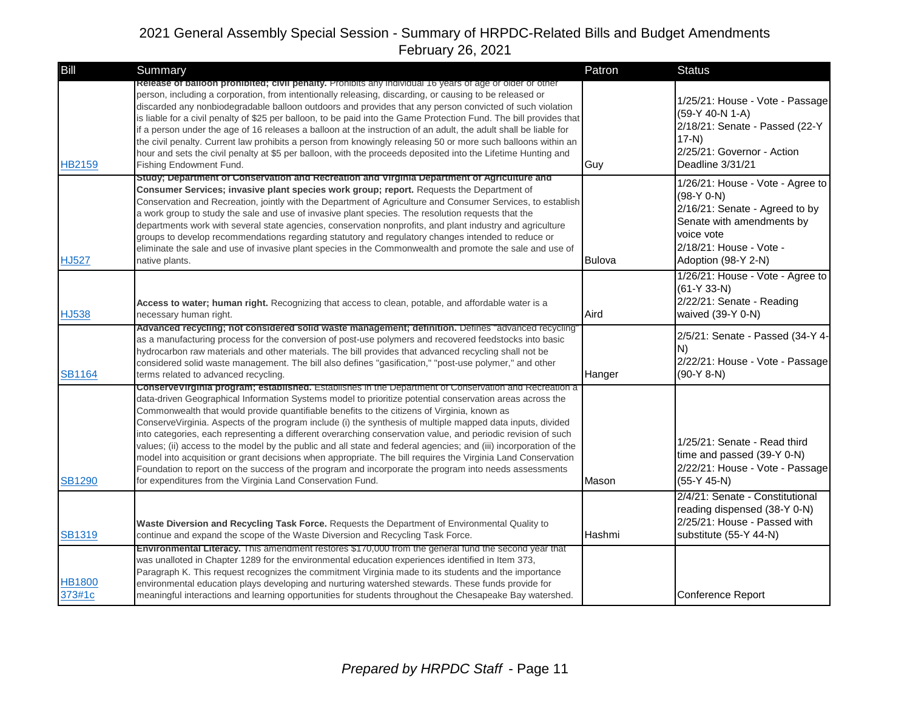| Bill                    | Summary                                                                                                                                                                                                                                                                                                                                                                                                                                                                                                                                                                                                                                                                                                                                                                                                                                                                                                                                                    | Patron        | <b>Status</b>                                                                                                                                                                   |
|-------------------------|------------------------------------------------------------------------------------------------------------------------------------------------------------------------------------------------------------------------------------------------------------------------------------------------------------------------------------------------------------------------------------------------------------------------------------------------------------------------------------------------------------------------------------------------------------------------------------------------------------------------------------------------------------------------------------------------------------------------------------------------------------------------------------------------------------------------------------------------------------------------------------------------------------------------------------------------------------|---------------|---------------------------------------------------------------------------------------------------------------------------------------------------------------------------------|
| <b>HB2159</b>           | Release of balloon prohibited; civil penalty. Prohibits any individual 16 years of age or older or other<br>person, including a corporation, from intentionally releasing, discarding, or causing to be released or<br>discarded any nonbiodegradable balloon outdoors and provides that any person convicted of such violation<br>is liable for a civil penalty of \$25 per balloon, to be paid into the Game Protection Fund. The bill provides that<br>if a person under the age of 16 releases a balloon at the instruction of an adult, the adult shall be liable for<br>the civil penalty. Current law prohibits a person from knowingly releasing 50 or more such balloons within an<br>hour and sets the civil penalty at \$5 per balloon, with the proceeds deposited into the Lifetime Hunting and<br>Fishing Endowment Fund.                                                                                                                    | Guy           | 1/25/21: House - Vote - Passage<br>(59-Y 40-N 1-A)<br>2/18/21: Senate - Passed (22-Y<br>$17-N$<br>2/25/21: Governor - Action<br>Deadline 3/31/21                                |
| <b>HJ527</b>            | Study; Department of Conservation and Recreation and Virginia Department of Agriculture and<br><b>Consumer Services; invasive plant species work group; report.</b> Requests the Department of<br>Conservation and Recreation, jointly with the Department of Agriculture and Consumer Services, to establish<br>a work group to study the sale and use of invasive plant species. The resolution requests that the<br>departments work with several state agencies, conservation nonprofits, and plant industry and agriculture<br>groups to develop recommendations regarding statutory and regulatory changes intended to reduce or<br>eliminate the sale and use of invasive plant species in the Commonwealth and promote the sale and use of<br>native plants.                                                                                                                                                                                       | <b>Bulova</b> | 1/26/21: House - Vote - Agree to<br>$(98-Y 0-N)$<br>2/16/21: Senate - Agreed to by<br>Senate with amendments by<br>voice vote<br>2/18/21: House - Vote -<br>Adoption (98-Y 2-N) |
| <b>HJ538</b>            | Access to water; human right. Recognizing that access to clean, potable, and affordable water is a<br>necessary human right.                                                                                                                                                                                                                                                                                                                                                                                                                                                                                                                                                                                                                                                                                                                                                                                                                               | Aird          | 1/26/21: House - Vote - Agree to<br>$(61-Y 33-N)$<br>2/22/21: Senate - Reading<br>waived (39-Y 0-N)                                                                             |
| <b>SB1164</b>           | Advanced recycling; not considered solid waste management; definition. Defines "advanced recycling"<br>as a manufacturing process for the conversion of post-use polymers and recovered feedstocks into basic<br>hydrocarbon raw materials and other materials. The bill provides that advanced recycling shall not be<br>considered solid waste management. The bill also defines "gasification," "post-use polymer," and other<br>terms related to advanced recycling.                                                                                                                                                                                                                                                                                                                                                                                                                                                                                   | Hanger        | 2/5/21: Senate - Passed (34-Y 4-<br>N)<br>2/22/21: House - Vote - Passage<br>$(90-Y 8-N)$                                                                                       |
| <b>SB1290</b>           | Conservevirginia program; established. Establishes in the Department of Conservation and Recreation a<br>data-driven Geographical Information Systems model to prioritize potential conservation areas across the<br>Commonwealth that would provide quantifiable benefits to the citizens of Virginia, known as<br>ConserveVirginia. Aspects of the program include (i) the synthesis of multiple mapped data inputs, divided<br>into categories, each representing a different overarching conservation value, and periodic revision of such<br>values; (ii) access to the model by the public and all state and federal agencies; and (iii) incorporation of the<br>model into acquisition or grant decisions when appropriate. The bill requires the Virginia Land Conservation<br>Foundation to report on the success of the program and incorporate the program into needs assessments<br>for expenditures from the Virginia Land Conservation Fund. | Mason         | 1/25/21: Senate - Read third<br>time and passed (39-Y 0-N)<br>2/22/21: House - Vote - Passage<br>$(55-Y 45-N)$                                                                  |
| <b>SB1319</b>           | Waste Diversion and Recycling Task Force. Requests the Department of Environmental Quality to<br>continue and expand the scope of the Waste Diversion and Recycling Task Force.                                                                                                                                                                                                                                                                                                                                                                                                                                                                                                                                                                                                                                                                                                                                                                            | Hashmi        | 2/4/21: Senate - Constitutional<br>reading dispensed (38-Y 0-N)<br>2/25/21: House - Passed with<br>substitute (55-Y 44-N)                                                       |
| <b>HB1800</b><br>373#1c | Environmental Literacy. This amendment restores \$170,000 from the general fund the second year that<br>was unalloted in Chapter 1289 for the environmental education experiences identified in Item 373,<br>Paragraph K. This request recognizes the commitment Virginia made to its students and the importance<br>environmental education plays developing and nurturing watershed stewards. These funds provide for<br>meaningful interactions and learning opportunities for students throughout the Chesapeake Bay watershed.                                                                                                                                                                                                                                                                                                                                                                                                                        |               | Conference Report                                                                                                                                                               |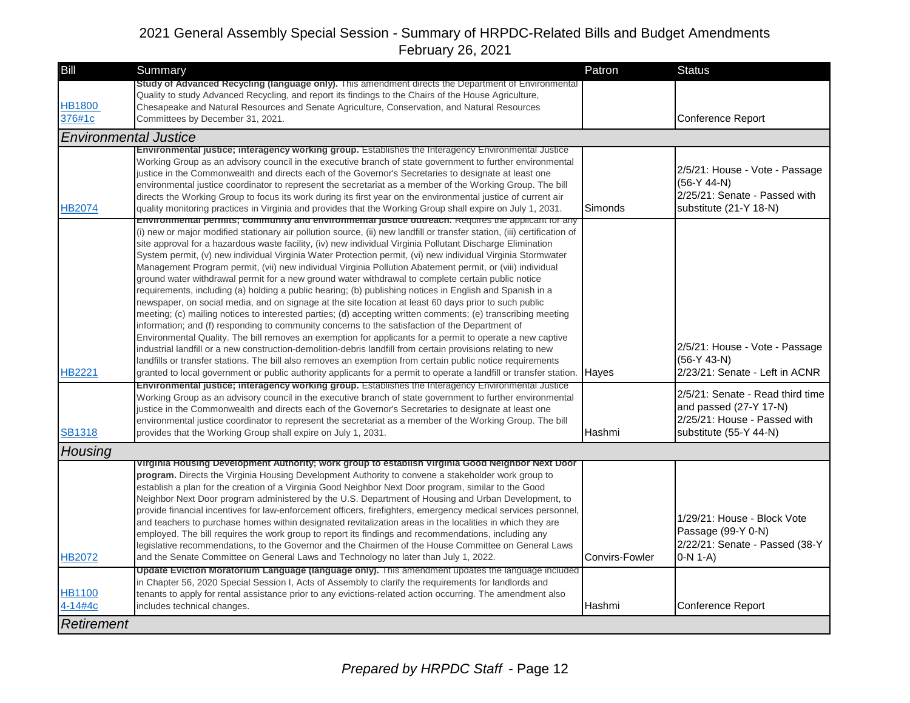| Bill                     | Summary                                                                                                                                                                                                                                                                                                                                                                                                                                                                                                                                                                                                                                                                                                                                                                                                                                                                                                                                                                                                                                                                                                                                                                                                                                                                                                                                                                                                                                                                                                                                                                                 | Patron         | <b>Status</b>                                                                                                          |
|--------------------------|-----------------------------------------------------------------------------------------------------------------------------------------------------------------------------------------------------------------------------------------------------------------------------------------------------------------------------------------------------------------------------------------------------------------------------------------------------------------------------------------------------------------------------------------------------------------------------------------------------------------------------------------------------------------------------------------------------------------------------------------------------------------------------------------------------------------------------------------------------------------------------------------------------------------------------------------------------------------------------------------------------------------------------------------------------------------------------------------------------------------------------------------------------------------------------------------------------------------------------------------------------------------------------------------------------------------------------------------------------------------------------------------------------------------------------------------------------------------------------------------------------------------------------------------------------------------------------------------|----------------|------------------------------------------------------------------------------------------------------------------------|
|                          | <b>Study of Advanced Recycling (language only).</b> This amendment directs the Department of Environmental<br>Quality to study Advanced Recycling, and report its findings to the Chairs of the House Agriculture,                                                                                                                                                                                                                                                                                                                                                                                                                                                                                                                                                                                                                                                                                                                                                                                                                                                                                                                                                                                                                                                                                                                                                                                                                                                                                                                                                                      |                |                                                                                                                        |
| <b>HB1800</b>            | Chesapeake and Natural Resources and Senate Agriculture, Conservation, and Natural Resources                                                                                                                                                                                                                                                                                                                                                                                                                                                                                                                                                                                                                                                                                                                                                                                                                                                                                                                                                                                                                                                                                                                                                                                                                                                                                                                                                                                                                                                                                            |                |                                                                                                                        |
| 376#1c                   | Committees by December 31, 2021.                                                                                                                                                                                                                                                                                                                                                                                                                                                                                                                                                                                                                                                                                                                                                                                                                                                                                                                                                                                                                                                                                                                                                                                                                                                                                                                                                                                                                                                                                                                                                        |                | Conference Report                                                                                                      |
|                          | <b>Environmental Justice</b>                                                                                                                                                                                                                                                                                                                                                                                                                                                                                                                                                                                                                                                                                                                                                                                                                                                                                                                                                                                                                                                                                                                                                                                                                                                                                                                                                                                                                                                                                                                                                            |                |                                                                                                                        |
| HB2074                   | Environmental justice; interagency working group. Establishes the Interagency Environmental Justice<br>Working Group as an advisory council in the executive branch of state government to further environmental<br>justice in the Commonwealth and directs each of the Governor's Secretaries to designate at least one<br>environmental justice coordinator to represent the secretariat as a member of the Working Group. The bill<br>directs the Working Group to focus its work during its first year on the environmental justice of current air<br>quality monitoring practices in Virginia and provides that the Working Group shall expire on July 1, 2031.                                                                                                                                                                                                                                                                                                                                                                                                                                                                                                                                                                                                                                                                                                                                                                                                                                                                                                                    | Simonds        | 2/5/21: House - Vote - Passage<br>$(56-Y 44-N)$<br>2/25/21: Senate - Passed with<br>substitute (21-Y 18-N)             |
| HB2221                   | Environmental permits; community and environmental justice outreach. Requires the applicant for any<br>(i) new or major modified stationary air pollution source, (ii) new landfill or transfer station, (iii) certification of<br>site approval for a hazardous waste facility, (iv) new individual Virginia Pollutant Discharge Elimination<br>System permit, (v) new individual Virginia Water Protection permit, (vi) new individual Virginia Stormwater<br>Management Program permit, (vii) new individual Virginia Pollution Abatement permit, or (viii) individual<br>ground water withdrawal permit for a new ground water withdrawal to complete certain public notice<br>requirements, including (a) holding a public hearing; (b) publishing notices in English and Spanish in a<br>newspaper, on social media, and on signage at the site location at least 60 days prior to such public<br>meeting; (c) mailing notices to interested parties; (d) accepting written comments; (e) transcribing meeting<br>information; and (f) responding to community concerns to the satisfaction of the Department of<br>Environmental Quality. The bill removes an exemption for applicants for a permit to operate a new captive<br>industrial landfill or a new construction-demolition-debris landfill from certain provisions relating to new<br>landfills or transfer stations. The bill also removes an exemption from certain public notice requirements<br>granted to local government or public authority applicants for a permit to operate a landfill or transfer station. | Hayes          | 2/5/21: House - Vote - Passage<br>$(56-Y 43-N)$<br>2/23/21: Senate - Left in ACNR                                      |
| <b>SB1318</b>            | Environmental justice; interagency working group. Establishes the Interagency Environmental Justice<br>Working Group as an advisory council in the executive branch of state government to further environmental<br>justice in the Commonwealth and directs each of the Governor's Secretaries to designate at least one<br>environmental justice coordinator to represent the secretariat as a member of the Working Group. The bill<br>provides that the Working Group shall expire on July 1, 2031.                                                                                                                                                                                                                                                                                                                                                                                                                                                                                                                                                                                                                                                                                                                                                                                                                                                                                                                                                                                                                                                                                  | Hashmi         | 2/5/21: Senate - Read third time<br>and passed $(27-Y 17-N)$<br>2/25/21: House - Passed with<br>substitute (55-Y 44-N) |
| Housing                  |                                                                                                                                                                                                                                                                                                                                                                                                                                                                                                                                                                                                                                                                                                                                                                                                                                                                                                                                                                                                                                                                                                                                                                                                                                                                                                                                                                                                                                                                                                                                                                                         |                |                                                                                                                        |
| <b>HB2072</b>            | Virginia Housing Development Authority; work group to establish Virginia Good Neighbor Next Door<br>program. Directs the Virginia Housing Development Authority to convene a stakeholder work group to<br>establish a plan for the creation of a Virginia Good Neighbor Next Door program, similar to the Good<br>Neighbor Next Door program administered by the U.S. Department of Housing and Urban Development, to<br>provide financial incentives for law-enforcement officers, firefighters, emergency medical services personnel,<br>and teachers to purchase homes within designated revitalization areas in the localities in which they are<br>employed. The bill requires the work group to report its findings and recommendations, including any<br>legislative recommendations, to the Governor and the Chairmen of the House Committee on General Laws<br>and the Senate Committee on General Laws and Technology no later than July 1, 2022.                                                                                                                                                                                                                                                                                                                                                                                                                                                                                                                                                                                                                             | Convirs-Fowler | 1/29/21: House - Block Vote<br>Passage (99-Y 0-N)<br>2/22/21: Senate - Passed (38-Y<br>$0-N 1-A$                       |
| <b>HB1100</b><br>4-14#4c | Update Eviction Moratorium Language (language only). This amendment updates the language included<br>in Chapter 56, 2020 Special Session I, Acts of Assembly to clarify the requirements for landlords and<br>tenants to apply for rental assistance prior to any evictions-related action occurring. The amendment also<br>includes technical changes.                                                                                                                                                                                                                                                                                                                                                                                                                                                                                                                                                                                                                                                                                                                                                                                                                                                                                                                                                                                                                                                                                                                                                                                                                                 | <b>Hashmi</b>  | Conference Report                                                                                                      |
| Retirement               |                                                                                                                                                                                                                                                                                                                                                                                                                                                                                                                                                                                                                                                                                                                                                                                                                                                                                                                                                                                                                                                                                                                                                                                                                                                                                                                                                                                                                                                                                                                                                                                         |                |                                                                                                                        |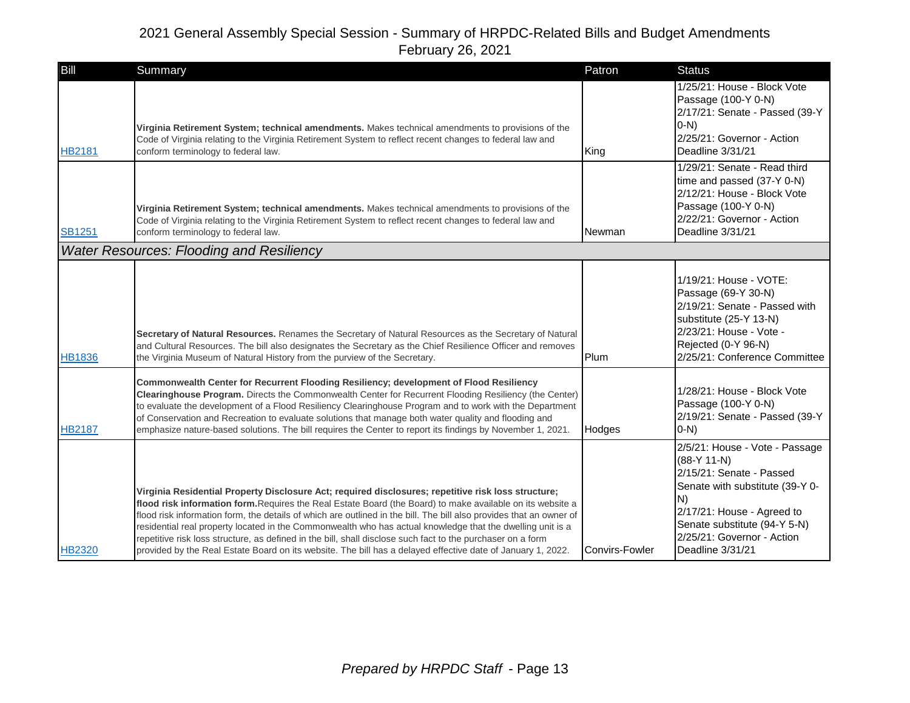| <b>Bill</b>   | Summary                                                                                                                                                                                                                                                                                                                                                                                                                                                                                                                                                                                                                                                                              | Patron                | <b>Status</b>                                                                                                                                                                                                                        |
|---------------|--------------------------------------------------------------------------------------------------------------------------------------------------------------------------------------------------------------------------------------------------------------------------------------------------------------------------------------------------------------------------------------------------------------------------------------------------------------------------------------------------------------------------------------------------------------------------------------------------------------------------------------------------------------------------------------|-----------------------|--------------------------------------------------------------------------------------------------------------------------------------------------------------------------------------------------------------------------------------|
| <b>HB2181</b> | Virginia Retirement System; technical amendments. Makes technical amendments to provisions of the<br>Code of Virginia relating to the Virginia Retirement System to reflect recent changes to federal law and<br>conform terminology to federal law.                                                                                                                                                                                                                                                                                                                                                                                                                                 | King                  | 1/25/21: House - Block Vote<br>Passage (100-Y 0-N)<br>2/17/21: Senate - Passed (39-Y<br>$O-N$<br>2/25/21: Governor - Action<br>Deadline 3/31/21                                                                                      |
| <b>SB1251</b> | Virginia Retirement System; technical amendments. Makes technical amendments to provisions of the<br>Code of Virginia relating to the Virginia Retirement System to reflect recent changes to federal law and<br>conform terminology to federal law.                                                                                                                                                                                                                                                                                                                                                                                                                                 | Newman                | 1/29/21: Senate - Read third<br>time and passed (37-Y 0-N)<br>2/12/21: House - Block Vote<br>Passage (100-Y 0-N)<br>2/22/21: Governor - Action<br>Deadline 3/31/21                                                                   |
|               | <b>Water Resources: Flooding and Resiliency</b>                                                                                                                                                                                                                                                                                                                                                                                                                                                                                                                                                                                                                                      |                       |                                                                                                                                                                                                                                      |
| <b>HB1836</b> | Secretary of Natural Resources. Renames the Secretary of Natural Resources as the Secretary of Natural<br>and Cultural Resources. The bill also designates the Secretary as the Chief Resilience Officer and removes<br>the Virginia Museum of Natural History from the purview of the Secretary.                                                                                                                                                                                                                                                                                                                                                                                    | Plum                  | 1/19/21: House - VOTE:<br>Passage (69-Y 30-N)<br>2/19/21: Senate - Passed with<br>substitute (25-Y 13-N)<br>2/23/21: House - Vote -<br>Rejected (0-Y 96-N)<br>2/25/21: Conference Committee                                          |
| <b>HB2187</b> | Commonwealth Center for Recurrent Flooding Resiliency; development of Flood Resiliency<br>Clearinghouse Program. Directs the Commonwealth Center for Recurrent Flooding Resiliency (the Center)<br>to evaluate the development of a Flood Resiliency Clearinghouse Program and to work with the Department<br>of Conservation and Recreation to evaluate solutions that manage both water quality and flooding and<br>emphasize nature-based solutions. The bill requires the Center to report its findings by November 1, 2021.                                                                                                                                                     | Hodges                | 1/28/21: House - Block Vote<br>Passage (100-Y 0-N)<br>2/19/21: Senate - Passed (39-Y<br>$(0-N)$                                                                                                                                      |
| <b>HB2320</b> | Virginia Residential Property Disclosure Act; required disclosures; repetitive risk loss structure;<br>flood risk information form. Requires the Real Estate Board (the Board) to make available on its website a<br>flood risk information form, the details of which are outlined in the bill. The bill also provides that an owner of<br>residential real property located in the Commonwealth who has actual knowledge that the dwelling unit is a<br>repetitive risk loss structure, as defined in the bill, shall disclose such fact to the purchaser on a form<br>provided by the Real Estate Board on its website. The bill has a delayed effective date of January 1, 2022. | <b>Convirs-Fowler</b> | 2/5/21: House - Vote - Passage<br>$(88-Y 11-N)$<br>2/15/21: Senate - Passed<br>Senate with substitute (39-Y 0-<br>N)<br>2/17/21: House - Agreed to<br>Senate substitute (94-Y 5-N)<br>2/25/21: Governor - Action<br>Deadline 3/31/21 |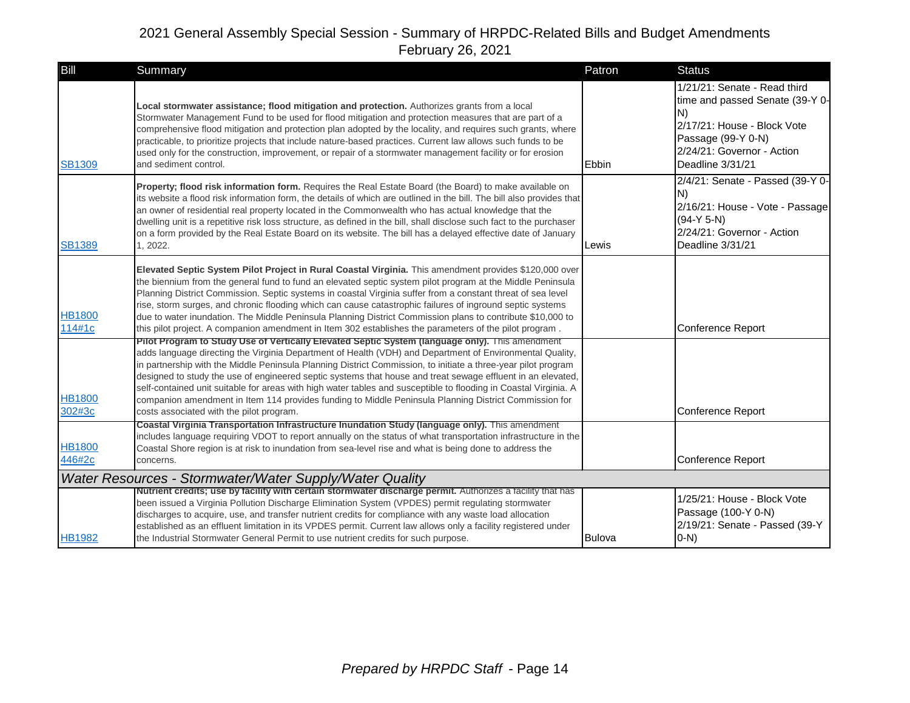| Bill                    | Summary                                                                                                                                                                                                                                                                                                                                                                                                                                                                                                                                                                                                                                                                                                              | Patron        | <b>Status</b>                                                                                                                                                                |
|-------------------------|----------------------------------------------------------------------------------------------------------------------------------------------------------------------------------------------------------------------------------------------------------------------------------------------------------------------------------------------------------------------------------------------------------------------------------------------------------------------------------------------------------------------------------------------------------------------------------------------------------------------------------------------------------------------------------------------------------------------|---------------|------------------------------------------------------------------------------------------------------------------------------------------------------------------------------|
| <b>SB1309</b>           | Local stormwater assistance; flood mitigation and protection. Authorizes grants from a local<br>Stormwater Management Fund to be used for flood mitigation and protection measures that are part of a<br>comprehensive flood mitigation and protection plan adopted by the locality, and requires such grants, where<br>practicable, to prioritize projects that include nature-based practices. Current law allows such funds to be<br>used only for the construction, improvement, or repair of a stormwater management facility or for erosion<br>and sediment control.                                                                                                                                           | Ebbin         | 1/21/21: Senate - Read third<br>time and passed Senate (39-Y 0-<br>N)<br>2/17/21: House - Block Vote<br>Passage (99-Y 0-N)<br>2/24/21: Governor - Action<br>Deadline 3/31/21 |
| <b>SB1389</b>           | Property; flood risk information form. Requires the Real Estate Board (the Board) to make available on<br>its website a flood risk information form, the details of which are outlined in the bill. The bill also provides that<br>an owner of residential real property located in the Commonwealth who has actual knowledge that the<br>dwelling unit is a repetitive risk loss structure, as defined in the bill, shall disclose such fact to the purchaser<br>on a form provided by the Real Estate Board on its website. The bill has a delayed effective date of January<br>1, 2022.                                                                                                                           | Lewis         | 2/4/21: Senate - Passed (39-Y 0-<br>N)<br>2/16/21: House - Vote - Passage<br>$(94-Y 5-N)$<br>2/24/21: Governor - Action<br>Deadline 3/31/21                                  |
| <b>HB1800</b><br>114#1c | Elevated Septic System Pilot Project in Rural Coastal Virginia. This amendment provides \$120,000 over<br>the biennium from the general fund to fund an elevated septic system pilot program at the Middle Peninsula<br>Planning District Commission. Septic systems in coastal Virginia suffer from a constant threat of sea level<br>rise, storm surges, and chronic flooding which can cause catastrophic failures of inground septic systems<br>due to water inundation. The Middle Peninsula Planning District Commission plans to contribute \$10,000 to<br>this pilot project. A companion amendment in Item 302 establishes the parameters of the pilot program.                                             |               | <b>Conference Report</b>                                                                                                                                                     |
| <b>HB1800</b><br>302#3c | Pilot Program to Study Use of Vertically Elevated Septic System (language only). This amendment<br>adds language directing the Virginia Department of Health (VDH) and Department of Environmental Quality,<br>in partnership with the Middle Peninsula Planning District Commission, to initiate a three-year pilot program<br>designed to study the use of engineered septic systems that house and treat sewage effluent in an elevated,<br>self-contained unit suitable for areas with high water tables and susceptible to flooding in Coastal Virginia. A<br>companion amendment in Item 114 provides funding to Middle Peninsula Planning District Commission for<br>costs associated with the pilot program. |               | Conference Report                                                                                                                                                            |
| <b>HB1800</b><br>446#2c | Coastal Virginia Transportation Infrastructure Inundation Study (language only). This amendment<br>includes language requiring VDOT to report annually on the status of what transportation infrastructure in the<br>Coastal Shore region is at risk to inundation from sea-level rise and what is being done to address the<br>concerns.                                                                                                                                                                                                                                                                                                                                                                            |               | <b>Conference Report</b>                                                                                                                                                     |
|                         | Water Resources - Stormwater/Water Supply/Water Quality                                                                                                                                                                                                                                                                                                                                                                                                                                                                                                                                                                                                                                                              |               |                                                                                                                                                                              |
| <b>HB1982</b>           | Nutrient credits; use by facility with certain stormwater discharge permit. Authorizes a facility that has<br>been issued a Virginia Pollution Discharge Elimination System (VPDES) permit regulating stormwater<br>discharges to acquire, use, and transfer nutrient credits for compliance with any waste load allocation<br>established as an effluent limitation in its VPDES permit. Current law allows only a facility registered under<br>the Industrial Stormwater General Permit to use nutrient credits for such purpose.                                                                                                                                                                                  | <b>Bulova</b> | 1/25/21: House - Block Vote<br>Passage (100-Y 0-N)<br>2/19/21: Senate - Passed (39-Y<br>$O-N$                                                                                |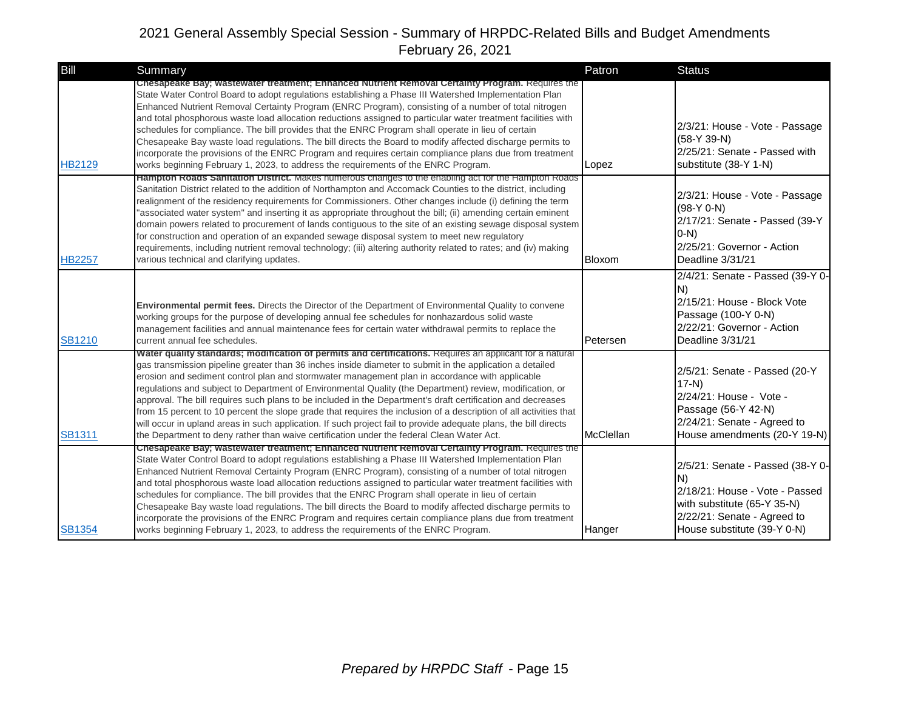| Bill          | Summary                                                                                                                                                                                                                                                                                                                                                                                                                                                                                                                                                                                                                                                                                                                                                                                                                                                                                 | Patron    | <b>Status</b>                                                                                                                                                          |
|---------------|-----------------------------------------------------------------------------------------------------------------------------------------------------------------------------------------------------------------------------------------------------------------------------------------------------------------------------------------------------------------------------------------------------------------------------------------------------------------------------------------------------------------------------------------------------------------------------------------------------------------------------------------------------------------------------------------------------------------------------------------------------------------------------------------------------------------------------------------------------------------------------------------|-----------|------------------------------------------------------------------------------------------------------------------------------------------------------------------------|
| <b>HB2129</b> | Chesapeake Bay; wastewater treatment; Enhanced Nutrient Removal Certainty Program. Requires the<br>State Water Control Board to adopt regulations establishing a Phase III Watershed Implementation Plan<br>Enhanced Nutrient Removal Certainty Program (ENRC Program), consisting of a number of total nitrogen<br>and total phosphorous waste load allocation reductions assigned to particular water treatment facilities with<br>schedules for compliance. The bill provides that the ENRC Program shall operate in lieu of certain<br>Chesapeake Bay waste load regulations. The bill directs the Board to modify affected discharge permits to<br>incorporate the provisions of the ENRC Program and requires certain compliance plans due from treatment<br>works beginning February 1, 2023, to address the requirements of the ENRC Program.                                   | Lopez     | 2/3/21: House - Vote - Passage<br>$(58-Y 39-N)$<br>2/25/21: Senate - Passed with<br>substitute (38-Y 1-N)                                                              |
| <b>HB2257</b> | Hampton Roads Sanitation District. Makes numerous changes to the enabling act for the Hampton Roads<br>Sanitation District related to the addition of Northampton and Accomack Counties to the district, including<br>realignment of the residency requirements for Commissioners. Other changes include (i) defining the term<br>"associated water system" and inserting it as appropriate throughout the bill; (ii) amending certain eminent<br>domain powers related to procurement of lands contiguous to the site of an existing sewage disposal system<br>for construction and operation of an expanded sewage disposal system to meet new regulatory<br>requirements, including nutrient removal technology; (iii) altering authority related to rates; and (iv) making<br>various technical and clarifying updates.                                                             | Bloxom    | 2/3/21: House - Vote - Passage<br>$(98-Y 0-N)$<br>2/17/21: Senate - Passed (39-Y<br>$ 0-N\rangle$<br>2/25/21: Governor - Action<br>Deadline 3/31/21                    |
| <b>SB1210</b> | <b>Environmental permit fees.</b> Directs the Director of the Department of Environmental Quality to convene<br>working groups for the purpose of developing annual fee schedules for nonhazardous solid waste<br>management facilities and annual maintenance fees for certain water withdrawal permits to replace the<br>current annual fee schedules.                                                                                                                                                                                                                                                                                                                                                                                                                                                                                                                                | Petersen  | 2/4/21: Senate - Passed (39-Y 0-<br>N)<br>2/15/21: House - Block Vote<br>Passage (100-Y 0-N)<br>2/22/21: Governor - Action<br>Deadline 3/31/21                         |
| <b>SB1311</b> | Water quality standards; modification of permits and certifications. Requires an applicant for a natural<br>gas transmission pipeline greater than 36 inches inside diameter to submit in the application a detailed<br>erosion and sediment control plan and stormwater management plan in accordance with applicable<br>regulations and subject to Department of Environmental Quality (the Department) review, modification, or<br>approval. The bill requires such plans to be included in the Department's draft certification and decreases<br>from 15 percent to 10 percent the slope grade that requires the inclusion of a description of all activities that<br>will occur in upland areas in such application. If such project fail to provide adequate plans, the bill directs<br>the Department to deny rather than waive certification under the federal Clean Water Act. | McClellan | 2/5/21: Senate - Passed (20-Y<br>$17-N$<br>2/24/21: House - Vote -<br>Passage (56-Y 42-N)<br>2/24/21: Senate - Agreed to<br>House amendments (20-Y 19-N)               |
| <b>SB1354</b> | Chesapeake Bay; wastewater treatment; Enhanced Nutrient Removal Certainty Program. Requires the<br>State Water Control Board to adopt regulations establishing a Phase III Watershed Implementation Plan<br>Enhanced Nutrient Removal Certainty Program (ENRC Program), consisting of a number of total nitrogen<br>and total phosphorous waste load allocation reductions assigned to particular water treatment facilities with<br>schedules for compliance. The bill provides that the ENRC Program shall operate in lieu of certain<br>Chesapeake Bay waste load regulations. The bill directs the Board to modify affected discharge permits to<br>incorporate the provisions of the ENRC Program and requires certain compliance plans due from treatment<br>works beginning February 1, 2023, to address the requirements of the ENRC Program.                                   | Hanger    | 2/5/21: Senate - Passed (38-Y 0-<br>IN)<br>2/18/21: House - Vote - Passed<br>with substitute (65-Y 35-N)<br>2/22/21: Senate - Agreed to<br>House substitute (39-Y 0-N) |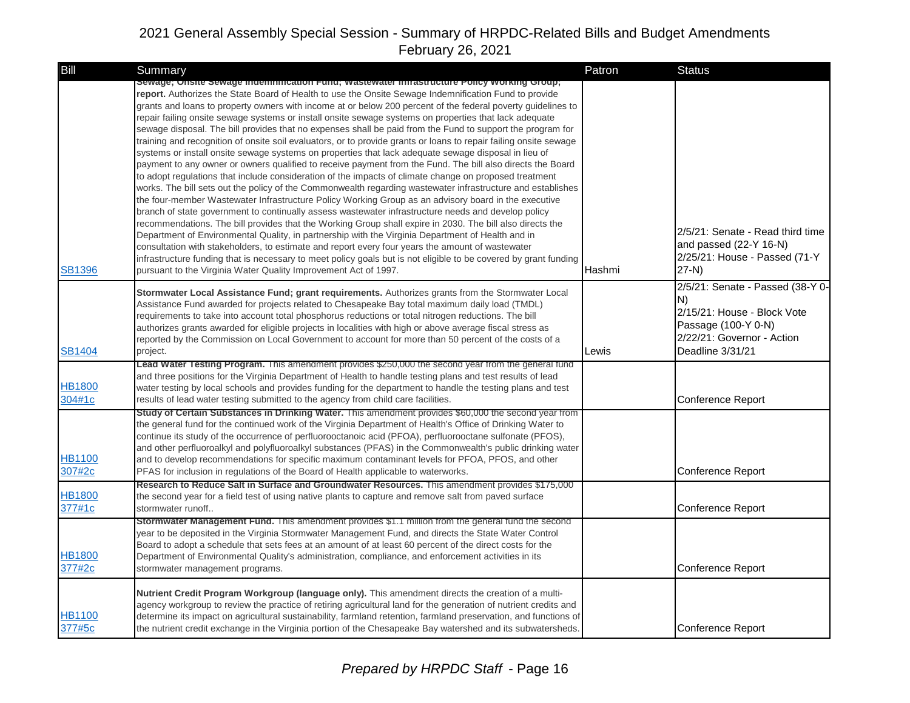| Bill                    | <b>Summary</b>                                                                                                                                                                                                                                                                                                                                                                                                                                                                                                                                                                                                                                                                                                                                                                                                                                                                                                                                                                                                                                                                                                                                                                                                                                                                                                                                                                                                                                                                                                                                                                                                                                                                                                                                                                                                                               | Patron | <b>Status</b>                                                                                                                                  |
|-------------------------|----------------------------------------------------------------------------------------------------------------------------------------------------------------------------------------------------------------------------------------------------------------------------------------------------------------------------------------------------------------------------------------------------------------------------------------------------------------------------------------------------------------------------------------------------------------------------------------------------------------------------------------------------------------------------------------------------------------------------------------------------------------------------------------------------------------------------------------------------------------------------------------------------------------------------------------------------------------------------------------------------------------------------------------------------------------------------------------------------------------------------------------------------------------------------------------------------------------------------------------------------------------------------------------------------------------------------------------------------------------------------------------------------------------------------------------------------------------------------------------------------------------------------------------------------------------------------------------------------------------------------------------------------------------------------------------------------------------------------------------------------------------------------------------------------------------------------------------------|--------|------------------------------------------------------------------------------------------------------------------------------------------------|
| <b>SB1396</b>           | Sewage; Onsite Sewage Indemnification Fund; wastewater infrastructure Policy working Group;<br>report. Authorizes the State Board of Health to use the Onsite Sewage Indemnification Fund to provide<br>grants and loans to property owners with income at or below 200 percent of the federal poverty quidelines to<br>repair failing onsite sewage systems or install onsite sewage systems on properties that lack adequate<br>sewage disposal. The bill provides that no expenses shall be paid from the Fund to support the program for<br>training and recognition of onsite soil evaluators, or to provide grants or loans to repair failing onsite sewage<br>systems or install onsite sewage systems on properties that lack adequate sewage disposal in lieu of<br>payment to any owner or owners qualified to receive payment from the Fund. The bill also directs the Board<br>to adopt regulations that include consideration of the impacts of climate change on proposed treatment<br>works. The bill sets out the policy of the Commonwealth regarding wastewater infrastructure and establishes<br>the four-member Wastewater Infrastructure Policy Working Group as an advisory board in the executive<br>branch of state government to continually assess wastewater infrastructure needs and develop policy<br>recommendations. The bill provides that the Working Group shall expire in 2030. The bill also directs the<br>Department of Environmental Quality, in partnership with the Virginia Department of Health and in<br>consultation with stakeholders, to estimate and report every four years the amount of wastewater<br>infrastructure funding that is necessary to meet policy goals but is not eligible to be covered by grant funding<br>pursuant to the Virginia Water Quality Improvement Act of 1997. | Hashmi | 2/5/21: Senate - Read third time<br>and passed (22-Y 16-N)<br>2/25/21: House - Passed (71-Y<br>$27-N$ )                                        |
| <b>SB1404</b>           | Stormwater Local Assistance Fund; grant requirements. Authorizes grants from the Stormwater Local<br>Assistance Fund awarded for projects related to Chesapeake Bay total maximum daily load (TMDL)<br>requirements to take into account total phosphorus reductions or total nitrogen reductions. The bill<br>authorizes grants awarded for eligible projects in localities with high or above average fiscal stress as<br>reported by the Commission on Local Government to account for more than 50 percent of the costs of a<br>project.                                                                                                                                                                                                                                                                                                                                                                                                                                                                                                                                                                                                                                                                                                                                                                                                                                                                                                                                                                                                                                                                                                                                                                                                                                                                                                 | Lewis  | 2/5/21: Senate - Passed (38-Y 0-<br>N)<br>2/15/21: House - Block Vote<br>Passage (100-Y 0-N)<br>2/22/21: Governor - Action<br>Deadline 3/31/21 |
| <b>HB1800</b><br>304#1c | Lead Water Testing Program. This amendment provides \$250,000 the second year from the general fund<br>and three positions for the Virginia Department of Health to handle testing plans and test results of lead<br>water testing by local schools and provides funding for the department to handle the testing plans and test<br>results of lead water testing submitted to the agency from child care facilities.                                                                                                                                                                                                                                                                                                                                                                                                                                                                                                                                                                                                                                                                                                                                                                                                                                                                                                                                                                                                                                                                                                                                                                                                                                                                                                                                                                                                                        |        | Conference Report                                                                                                                              |
| <b>HB1100</b><br>307#2c | Study of Certain Substances in Drinking Water. This amendment provides \$60,000 the second year from<br>the general fund for the continued work of the Virginia Department of Health's Office of Drinking Water to<br>continue its study of the occurrence of perfluorooctanoic acid (PFOA), perfluorooctane sulfonate (PFOS),<br>and other perfluoroalkyl and polyfluoroalkyl substances (PFAS) in the Commonwealth's public drinking water<br>and to develop recommendations for specific maximum contaminant levels for PFOA, PFOS, and other<br>PFAS for inclusion in regulations of the Board of Health applicable to waterworks.                                                                                                                                                                                                                                                                                                                                                                                                                                                                                                                                                                                                                                                                                                                                                                                                                                                                                                                                                                                                                                                                                                                                                                                                       |        | Conference Report                                                                                                                              |
| <b>HB1800</b><br>377#1c | Research to Reduce Salt in Surface and Groundwater Resources. This amendment provides \$175,000<br>the second year for a field test of using native plants to capture and remove salt from paved surface<br>stormwater runoff                                                                                                                                                                                                                                                                                                                                                                                                                                                                                                                                                                                                                                                                                                                                                                                                                                                                                                                                                                                                                                                                                                                                                                                                                                                                                                                                                                                                                                                                                                                                                                                                                |        | Conference Report                                                                                                                              |
| <b>HB1800</b><br>377#2c | Stormwater Management Fund. This amendment provides \$1.1 million from the general fund the second<br>year to be deposited in the Virginia Stormwater Management Fund, and directs the State Water Control<br>Board to adopt a schedule that sets fees at an amount of at least 60 percent of the direct costs for the<br>Department of Environmental Quality's administration, compliance, and enforcement activities in its<br>stormwater management programs.                                                                                                                                                                                                                                                                                                                                                                                                                                                                                                                                                                                                                                                                                                                                                                                                                                                                                                                                                                                                                                                                                                                                                                                                                                                                                                                                                                             |        | Conference Report                                                                                                                              |
| <b>HB1100</b><br>377#5c | Nutrient Credit Program Workgroup (language only). This amendment directs the creation of a multi-<br>agency workgroup to review the practice of retiring agricultural land for the generation of nutrient credits and<br>determine its impact on agricultural sustainability, farmland retention, farmland preservation, and functions of<br>the nutrient credit exchange in the Virginia portion of the Chesapeake Bay watershed and its subwatersheds                                                                                                                                                                                                                                                                                                                                                                                                                                                                                                                                                                                                                                                                                                                                                                                                                                                                                                                                                                                                                                                                                                                                                                                                                                                                                                                                                                                     |        | <b>Conference Report</b>                                                                                                                       |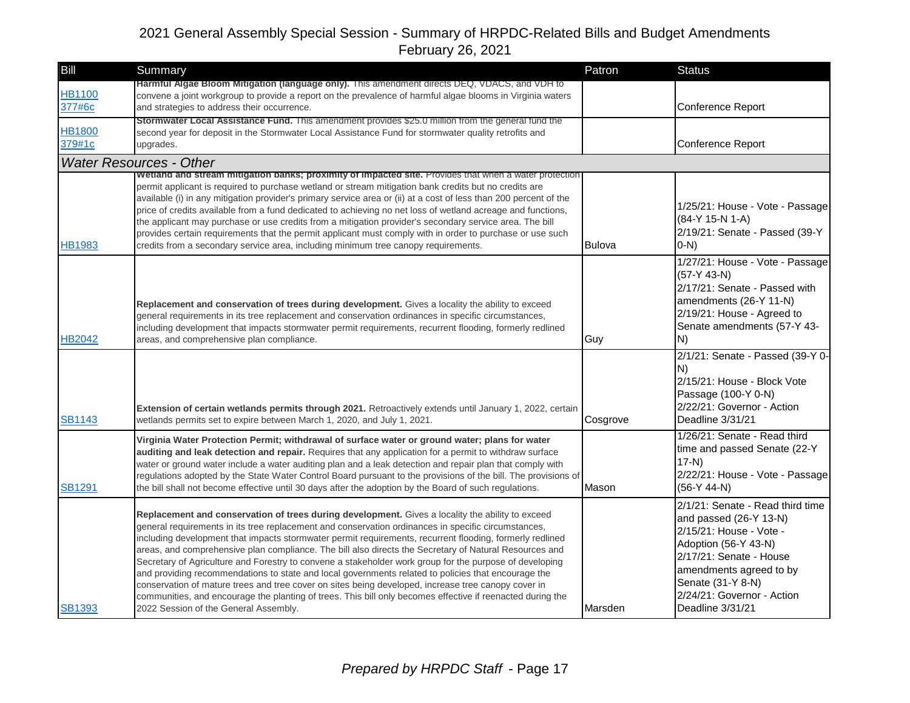| <b>Bill</b>             | Summary                                                                                                                                                                                                                                                                                                                                                                                                                                                                                                                                                                                                                                                                                                                                                                                                                                                                                                       | Patron        | <b>Status</b>                                                                                                                                                                                                                              |
|-------------------------|---------------------------------------------------------------------------------------------------------------------------------------------------------------------------------------------------------------------------------------------------------------------------------------------------------------------------------------------------------------------------------------------------------------------------------------------------------------------------------------------------------------------------------------------------------------------------------------------------------------------------------------------------------------------------------------------------------------------------------------------------------------------------------------------------------------------------------------------------------------------------------------------------------------|---------------|--------------------------------------------------------------------------------------------------------------------------------------------------------------------------------------------------------------------------------------------|
| <b>HB1100</b><br>377#6c | Harmful Algae Bloom Mitigation (language only). This amendment directs DEQ, VDACS, and VDH to<br>convene a joint workgroup to provide a report on the prevalence of harmful algae blooms in Virginia waters<br>and strategies to address their occurrence.                                                                                                                                                                                                                                                                                                                                                                                                                                                                                                                                                                                                                                                    |               | Conference Report                                                                                                                                                                                                                          |
| <b>HB1800</b><br>379#1c | <b>Stormwater Local Assistance Fund.</b> This amendment provides \$25.0 million from the general fund the<br>second year for deposit in the Stormwater Local Assistance Fund for stormwater quality retrofits and<br>upgrades.                                                                                                                                                                                                                                                                                                                                                                                                                                                                                                                                                                                                                                                                                |               | <b>Conference Report</b>                                                                                                                                                                                                                   |
|                         | <b>Water Resources - Other</b>                                                                                                                                                                                                                                                                                                                                                                                                                                                                                                                                                                                                                                                                                                                                                                                                                                                                                |               |                                                                                                                                                                                                                                            |
| HB1983                  | Wetland and stream mitigation banks; proximity of impacted site. Provides that when a water protection<br>permit applicant is required to purchase wetland or stream mitigation bank credits but no credits are<br>available (i) in any mitigation provider's primary service area or (ii) at a cost of less than 200 percent of the<br>price of credits available from a fund dedicated to achieving no net loss of wetland acreage and functions,<br>the applicant may purchase or use credits from a mitigation provider's secondary service area. The bill<br>provides certain requirements that the permit applicant must comply with in order to purchase or use such<br>credits from a secondary service area, including minimum tree canopy requirements.                                                                                                                                             | <b>Bulova</b> | 1/25/21: House - Vote - Passage<br>(84-Y 15-N 1-A)<br>2/19/21: Senate - Passed (39-Y<br>$O-N$ )                                                                                                                                            |
| <b>HB2042</b>           | Replacement and conservation of trees during development. Gives a locality the ability to exceed<br>general requirements in its tree replacement and conservation ordinances in specific circumstances,<br>including development that impacts stormwater permit requirements, recurrent flooding, formerly redlined<br>areas, and comprehensive plan compliance.                                                                                                                                                                                                                                                                                                                                                                                                                                                                                                                                              | Guy           | 1/27/21: House - Vote - Passage<br>$(57-Y 43-N)$<br>2/17/21: Senate - Passed with<br>amendments (26-Y 11-N)<br>2/19/21: House - Agreed to<br>Senate amendments (57-Y 43-<br>N)                                                             |
| <b>SB1143</b>           | Extension of certain wetlands permits through 2021. Retroactively extends until January 1, 2022, certain<br>wetlands permits set to expire between March 1, 2020, and July 1, 2021.                                                                                                                                                                                                                                                                                                                                                                                                                                                                                                                                                                                                                                                                                                                           | Cosgrove      | 2/1/21: Senate - Passed (39-Y 0-<br>N)<br>2/15/21: House - Block Vote<br>Passage (100-Y 0-N)<br>2/22/21: Governor - Action<br>Deadline 3/31/21                                                                                             |
| <b>SB1291</b>           | Virginia Water Protection Permit; withdrawal of surface water or ground water; plans for water<br>auditing and leak detection and repair. Requires that any application for a permit to withdraw surface<br>water or ground water include a water auditing plan and a leak detection and repair plan that comply with<br>regulations adopted by the State Water Control Board pursuant to the provisions of the bill. The provisions of<br>the bill shall not become effective until 30 days after the adoption by the Board of such regulations.                                                                                                                                                                                                                                                                                                                                                             | Mason         | 1/26/21: Senate - Read third<br>time and passed Senate (22-Y<br>$17-N$<br>2/22/21: House - Vote - Passage<br>$(56-Y 44-N)$                                                                                                                 |
| <b>SB1393</b>           | Replacement and conservation of trees during development. Gives a locality the ability to exceed<br>general requirements in its tree replacement and conservation ordinances in specific circumstances,<br>including development that impacts stormwater permit requirements, recurrent flooding, formerly redlined<br>areas, and comprehensive plan compliance. The bill also directs the Secretary of Natural Resources and<br>Secretary of Agriculture and Forestry to convene a stakeholder work group for the purpose of developing<br>and providing recommendations to state and local governments related to policies that encourage the<br>conservation of mature trees and tree cover on sites being developed, increase tree canopy cover in<br>communities, and encourage the planting of trees. This bill only becomes effective if reenacted during the<br>2022 Session of the General Assembly. | Marsden       | 2/1/21: Senate - Read third time<br>and passed (26-Y 13-N)<br>2/15/21: House - Vote -<br>Adoption (56-Y 43-N)<br>2/17/21: Senate - House<br>amendments agreed to by<br>Senate (31-Y 8-N)<br>2/24/21: Governor - Action<br>Deadline 3/31/21 |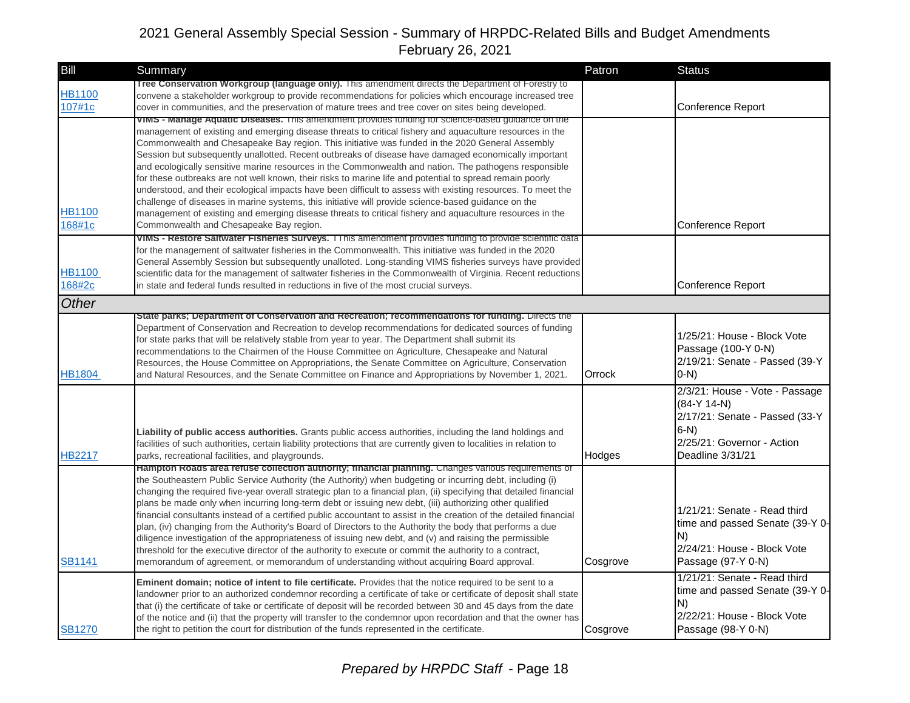| Bill                    | Summary                                                                                                                                                                                                                                                                                                                                                                                                                                                                                                                                                                                                                                                                                                                                                                                                                                                                                                                                                                                                                    | Patron   | <b>Status</b>                                                                                                                                  |
|-------------------------|----------------------------------------------------------------------------------------------------------------------------------------------------------------------------------------------------------------------------------------------------------------------------------------------------------------------------------------------------------------------------------------------------------------------------------------------------------------------------------------------------------------------------------------------------------------------------------------------------------------------------------------------------------------------------------------------------------------------------------------------------------------------------------------------------------------------------------------------------------------------------------------------------------------------------------------------------------------------------------------------------------------------------|----------|------------------------------------------------------------------------------------------------------------------------------------------------|
| <b>HB1100</b><br>107#1c | Tree Conservation Workgroup (language only). This amendment directs the Department of Forestry to<br>convene a stakeholder workgroup to provide recommendations for policies which encourage increased tree<br>cover in communities, and the preservation of mature trees and tree cover on sites being developed.                                                                                                                                                                                                                                                                                                                                                                                                                                                                                                                                                                                                                                                                                                         |          | Conference Report                                                                                                                              |
| HB1100<br>168#1c        | vims - manage Aquatic Diseases. This amendment provides funding for science-based guidance on the<br>management of existing and emerging disease threats to critical fishery and aquaculture resources in the<br>Commonwealth and Chesapeake Bay region. This initiative was funded in the 2020 General Assembly<br>Session but subsequently unallotted. Recent outbreaks of disease have damaged economically important<br>and ecologically sensitive marine resources in the Commonwealth and nation. The pathogens responsible<br>for these outbreaks are not well known, their risks to marine life and potential to spread remain poorly<br>understood, and their ecological impacts have been difficult to assess with existing resources. To meet the<br>challenge of diseases in marine systems, this initiative will provide science-based guidance on the<br>management of existing and emerging disease threats to critical fishery and aquaculture resources in the<br>Commonwealth and Chesapeake Bay region. |          | Conference Report                                                                                                                              |
| HB1100<br>168#2c        | VIMS - Restore Saltwater Fisheries Surveys. I I his amendment provides funding to provide scientific data<br>for the management of saltwater fisheries in the Commonwealth. This initiative was funded in the 2020<br>General Assembly Session but subsequently unalloted. Long-standing VIMS fisheries surveys have provided<br>scientific data for the management of saltwater fisheries in the Commonwealth of Virginia. Recent reductions<br>in state and federal funds resulted in reductions in five of the most crucial surveys.                                                                                                                                                                                                                                                                                                                                                                                                                                                                                    |          | <b>Conference Report</b>                                                                                                                       |
| Other                   |                                                                                                                                                                                                                                                                                                                                                                                                                                                                                                                                                                                                                                                                                                                                                                                                                                                                                                                                                                                                                            |          |                                                                                                                                                |
| HB1804                  | State parks; Department of Conservation and Recreation; recommendations for funding. Directs the<br>Department of Conservation and Recreation to develop recommendations for dedicated sources of funding<br>for state parks that will be relatively stable from year to year. The Department shall submit its<br>recommendations to the Chairmen of the House Committee on Agriculture, Chesapeake and Natural<br>Resources, the House Committee on Appropriations, the Senate Committee on Agriculture, Conservation<br>and Natural Resources, and the Senate Committee on Finance and Appropriations by November 1, 2021.                                                                                                                                                                                                                                                                                                                                                                                               | Orrock   | 1/25/21: House - Block Vote<br>Passage (100-Y 0-N)<br>2/19/21: Senate - Passed (39-Y<br>$0-N$                                                  |
| <b>HB2217</b>           | <b>Liability of public access authorities.</b> Grants public access authorities, including the land holdings and<br>facilities of such authorities, certain liability protections that are currently given to localities in relation to<br>parks, recreational facilities, and playgrounds.                                                                                                                                                                                                                                                                                                                                                                                                                                                                                                                                                                                                                                                                                                                                | Hodges   | 2/3/21: House - Vote - Passage<br>$(84-Y 14-N)$<br>2/17/21: Senate - Passed (33-Y<br>$6-N$ )<br>2/25/21: Governor - Action<br>Deadline 3/31/21 |
| <b>SB1141</b>           | Hampton Roads area retuse collection authority; financial planning. Changes various requirements of<br>the Southeastern Public Service Authority (the Authority) when budgeting or incurring debt, including (i)<br>changing the required five-year overall strategic plan to a financial plan, (ii) specifying that detailed financial<br>plans be made only when incurring long-term debt or issuing new debt, (iii) authorizing other qualified<br>financial consultants instead of a certified public accountant to assist in the creation of the detailed financial<br>plan, (iv) changing from the Authority's Board of Directors to the Authority the body that performs a due<br>diligence investigation of the appropriateness of issuing new debt, and (v) and raising the permissible<br>threshold for the executive director of the authority to execute or commit the authority to a contract,<br>memorandum of agreement, or memorandum of understanding without acquiring Board approval.                   | Cosgrove | 1/21/21: Senate - Read third<br>time and passed Senate (39-Y 0-<br>N)<br>2/24/21: House - Block Vote<br>Passage (97-Y 0-N)                     |
| <b>SB1270</b>           | Eminent domain; notice of intent to file certificate. Provides that the notice required to be sent to a<br>landowner prior to an authorized condemnor recording a certificate of take or certificate of deposit shall state<br>that (i) the certificate of take or certificate of deposit will be recorded between 30 and 45 days from the date<br>of the notice and (ii) that the property will transfer to the condemnor upon recordation and that the owner has<br>the right to petition the court for distribution of the funds represented in the certificate.                                                                                                                                                                                                                                                                                                                                                                                                                                                        | Cosgrove | 1/21/21: Senate - Read third<br>time and passed Senate (39-Y 0-<br>N)<br>2/22/21: House - Block Vote<br>Passage (98-Y 0-N)                     |